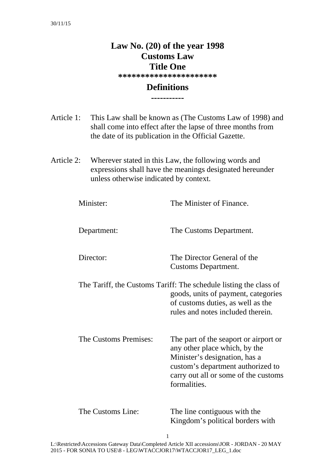# **Law No. (20) of the year 1998 Customs Law Title One**

**\*\*\*\*\*\*\*\*\*\*\*\*\*\*\*\*\*\*\*\*\*\*** 

### **Definitions -----------**

Article 1: This Law shall be known as (The Customs Law of 1998) and shall come into effect after the lapse of three months from the date of its publication in the Official Gazette.

Article 2: Wherever stated in this Law, the following words and expressions shall have the meanings designated hereunder unless otherwise indicated by context.

| Minister:             | The Minister of Finance.                                                                                                                                                                             |
|-----------------------|------------------------------------------------------------------------------------------------------------------------------------------------------------------------------------------------------|
| Department:           | The Customs Department.                                                                                                                                                                              |
| Director:             | The Director General of the<br><b>Customs Department.</b>                                                                                                                                            |
|                       | The Tariff, the Customs Tariff: The schedule listing the class of<br>goods, units of payment, categories<br>of customs duties, as well as the<br>rules and notes included therein.                   |
| The Customs Premises: | The part of the seaport or airport or<br>any other place which, by the<br>Minister's designation, has a<br>custom's department authorized to<br>carry out all or some of the customs<br>formalities. |
| The Customs Line:     | The line contiguous with the<br>Kingdom's political borders with                                                                                                                                     |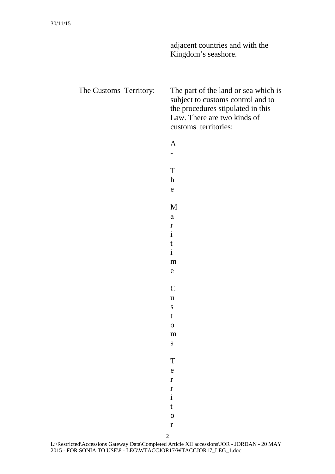|                        | adjacent countries and with the<br>Kingdom's seashore.                                                                                                                |
|------------------------|-----------------------------------------------------------------------------------------------------------------------------------------------------------------------|
| The Customs Territory: | The part of the land or sea which is<br>subject to customs control and to<br>the procedures stipulated in this<br>Law. There are two kinds of<br>customs territories: |
|                        | $\mathbf{A}$                                                                                                                                                          |
|                        |                                                                                                                                                                       |
|                        | T                                                                                                                                                                     |
|                        | $\boldsymbol{h}$                                                                                                                                                      |
|                        | e                                                                                                                                                                     |
|                        | M                                                                                                                                                                     |
|                        | a                                                                                                                                                                     |
|                        | $\mathbf r$                                                                                                                                                           |
|                        | $\mathbf{i}$                                                                                                                                                          |
|                        | t                                                                                                                                                                     |
|                        | $\mathbf{i}$                                                                                                                                                          |
|                        | m                                                                                                                                                                     |
|                        | e                                                                                                                                                                     |
|                        | $\mathsf C$                                                                                                                                                           |
|                        | $\mathbf u$                                                                                                                                                           |
|                        | $\mathbf S$                                                                                                                                                           |
|                        | $\mathbf t$                                                                                                                                                           |
|                        | $\overline{O}$                                                                                                                                                        |
|                        | ${\bf m}$                                                                                                                                                             |
|                        | ${\bf S}$                                                                                                                                                             |
|                        | T                                                                                                                                                                     |
|                        | $\mathbf e$                                                                                                                                                           |
|                        | $\mathbf r$                                                                                                                                                           |
|                        | $\mathbf r$                                                                                                                                                           |
|                        | $\mathbf{i}$                                                                                                                                                          |
|                        | $\mathbf t$                                                                                                                                                           |
|                        | $\overline{O}$                                                                                                                                                        |
|                        | $\mathbf r$                                                                                                                                                           |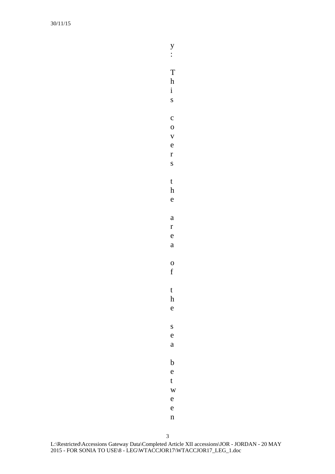y :

T

h i

s

o

r

c

v e

s

t

h e

e

a

f

t h e

s e

a r

o

a

b

e t

w

e

e

n

3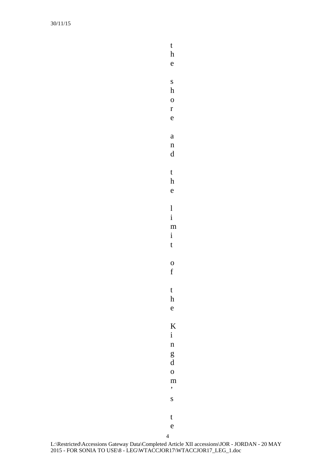e s h o r e a n d t h e l i m i t o f t h e K i n g d o m  $\overline{\phantom{a}}$ s t e

t h

4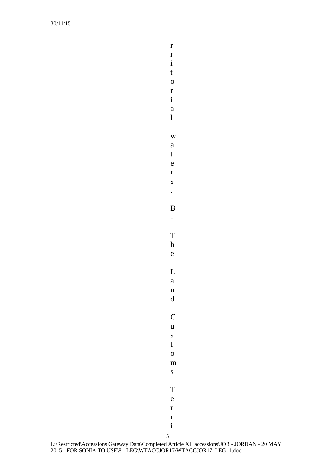i t o r i a l w a t e r s . B - T h e L a n d C u s t o m s T e r r

r r

5 i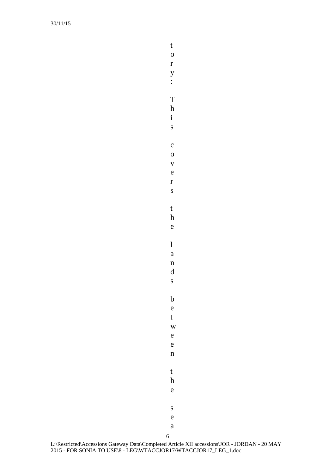t o r y : T

h

i s

c o v

e r

s

t h

e

l

a

n d

s

b e t

w

e n

e

t

h e

s

e

6 a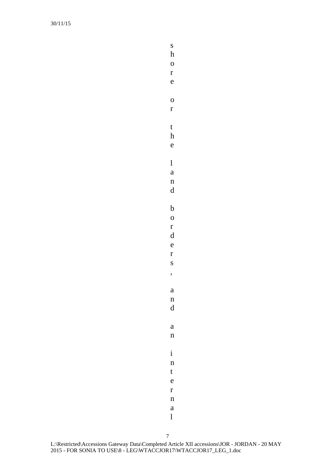s h

o

r e

o r

t

h e

l

a n

d

b o

r d e

r s

,

a n

d

a n

i n

t

e r

n

a

l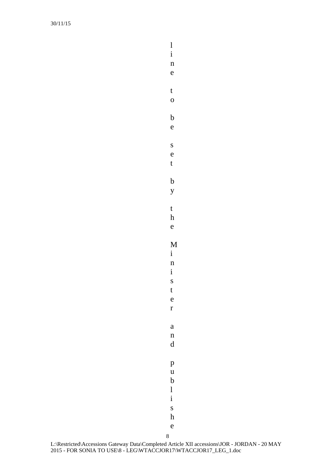t o b e s e t b y t h e M i n i s t e r a n d p u b l i s h

l i n e

8 e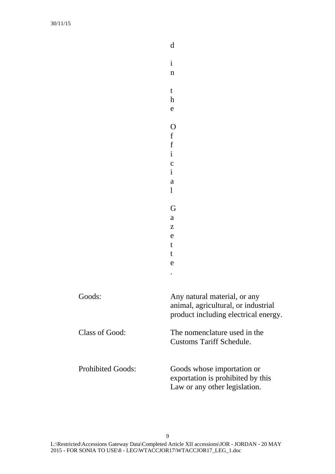|                          | $\mathbf d$                                                                                                 |
|--------------------------|-------------------------------------------------------------------------------------------------------------|
|                          | $\mathbf{i}$<br>$\mathbf n$                                                                                 |
|                          | $\mathbf t$<br>$\boldsymbol{\mathrm{h}}$<br>e                                                               |
|                          | O<br>f<br>$\mathbf f$<br>$\mathbf{i}$<br>$\mathbf c$<br>$\mathbf{i}$<br>$\rm{a}$<br>$\mathbf{l}$            |
|                          | G<br>$\rm{a}$<br>Z<br>e<br>t<br>t<br>e                                                                      |
| Goods:                   | Any natural material, or any<br>animal, agricultural, or industrial<br>product including electrical energy. |
| Class of Good:           | The nomenclature used in the<br><b>Customs Tariff Schedule.</b>                                             |
| <b>Prohibited Goods:</b> | Goods whose importation or<br>exportation is prohibited by this<br>Law or any other legislation.            |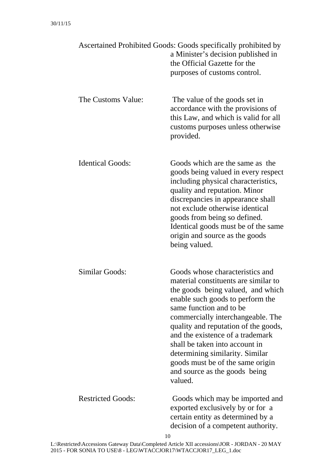|                          | Ascertained Prohibited Goods: Goods specifically prohibited by<br>a Minister's decision published in<br>the Official Gazette for the<br>purposes of customs control.                                                                                                                                                                                                                                                                              |
|--------------------------|---------------------------------------------------------------------------------------------------------------------------------------------------------------------------------------------------------------------------------------------------------------------------------------------------------------------------------------------------------------------------------------------------------------------------------------------------|
| The Customs Value:       | The value of the goods set in<br>accordance with the provisions of<br>this Law, and which is valid for all<br>customs purposes unless otherwise<br>provided.                                                                                                                                                                                                                                                                                      |
| <b>Identical Goods:</b>  | Goods which are the same as the<br>goods being valued in every respect<br>including physical characteristics,<br>quality and reputation. Minor<br>discrepancies in appearance shall<br>not exclude otherwise identical<br>goods from being so defined.<br>Identical goods must be of the same<br>origin and source as the goods<br>being valued.                                                                                                  |
| Similar Goods:           | Goods whose characteristics and<br>material constituents are similar to<br>the goods being valued, and which<br>enable such goods to perform the<br>same function and to be<br>commercially interchangeable. The<br>quality and reputation of the goods,<br>and the existence of a trademark<br>shall be taken into account in<br>determining similarity. Similar<br>goods must be of the same origin<br>and source as the goods being<br>valued. |
| <b>Restricted Goods:</b> | Goods which may be imported and<br>exported exclusively by or for a<br>certain entity as determined by a<br>decision of a competent authority.                                                                                                                                                                                                                                                                                                    |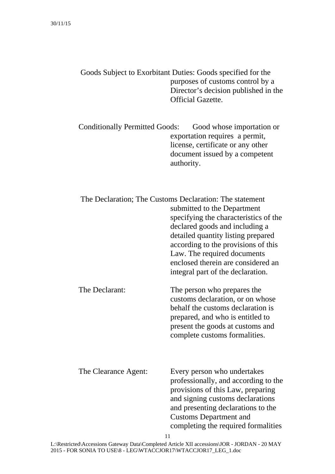| Goods Subject to Exorbitant Duties: Goods specified for the |
|-------------------------------------------------------------|
| purposes of customs control by a                            |
| Director's decision published in the                        |
| <b>Official Gazette.</b>                                    |

Conditionally Permitted Goods: Good whose importation or exportation requires a permit, license, certificate or any other document issued by a competent authority.

|                      | The Declaration; The Customs Declaration: The statement<br>submitted to the Department<br>specifying the characteristics of the<br>declared goods and including a<br>detailed quantity listing prepared<br>according to the provisions of this<br>Law. The required documents<br>enclosed therein are considered an<br>integral part of the declaration. |
|----------------------|----------------------------------------------------------------------------------------------------------------------------------------------------------------------------------------------------------------------------------------------------------------------------------------------------------------------------------------------------------|
| The Declarant:       | The person who prepares the<br>customs declaration, or on whose<br>behalf the customs declaration is<br>prepared, and who is entitled to<br>present the goods at customs and<br>complete customs formalities.                                                                                                                                            |
| The Clearance Agent: | Every person who undertakes<br>professionally, and according to the<br>provisions of this Law, preparing<br>and signing customs declarations<br>and presenting declarations to the<br><b>Customs Department and</b><br>completing the required formalities<br>11                                                                                         |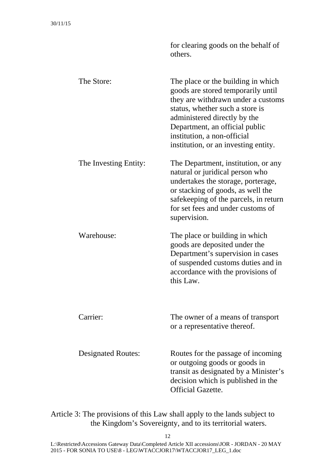|                           | others.                                                                                                                                                                                                                                                                                    |
|---------------------------|--------------------------------------------------------------------------------------------------------------------------------------------------------------------------------------------------------------------------------------------------------------------------------------------|
| The Store:                | The place or the building in which<br>goods are stored temporarily until<br>they are withdrawn under a customs<br>status, whether such a store is<br>administered directly by the<br>Department, an official public<br>institution, a non-official<br>institution, or an investing entity. |
| The Investing Entity:     | The Department, institution, or any<br>natural or juridical person who<br>undertakes the storage, porterage,<br>or stacking of goods, as well the<br>safekeeping of the parcels, in return<br>for set fees and under customs of<br>supervision.                                            |
| Warehouse:                | The place or building in which<br>goods are deposited under the<br>Department's supervision in cases<br>of suspended customs duties and in<br>accordance with the provisions of<br>this Law.                                                                                               |
| Carrier:                  | The owner of a means of transport<br>or a representative thereof.                                                                                                                                                                                                                          |
| <b>Designated Routes:</b> | Routes for the passage of incoming<br>or outgoing goods or goods in<br>transit as designated by a Minister's<br>decision which is published in the<br><b>Official Gazette.</b>                                                                                                             |

for clearing goods on the behalf of

Article 3: The provisions of this Law shall apply to the lands subject to the Kingdom's Sovereignty, and to its territorial waters.

12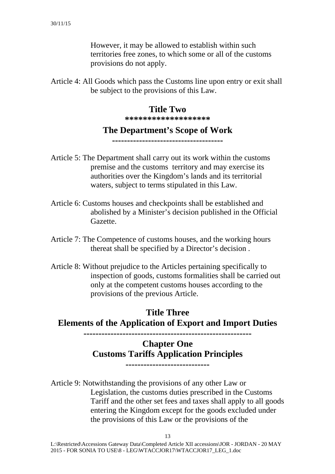However, it may be allowed to establish within such territories free zones, to which some or all of the customs provisions do not apply.

Article 4: All Goods which pass the Customs line upon entry or exit shall be subject to the provisions of this Law.

### **Title Two**

**\*\*\*\*\*\*\*\*\*\*\*\*\*\*\*\*\*\*\*** 

### **The Department's Scope of Work**

**-------------------------------------** 

- Article 5: The Department shall carry out its work within the customs premise and the customs territory and may exercise its authorities over the Kingdom's lands and its territorial waters, subject to terms stipulated in this Law.
- Article 6: Customs houses and checkpoints shall be established and abolished by a Minister's decision published in the Official Gazette.
- Article 7: The Competence of customs houses, and the working hours thereat shall be specified by a Director's decision .
- Article 8: Without prejudice to the Articles pertaining specifically to inspection of goods, customs formalities shall be carried out only at the competent customs houses according to the provisions of the previous Article.

**Title Three Elements of the Application of Export and Import Duties** 

**--------------------------------------------------------** 

# **Chapter One Customs Tariffs Application Principles**

**----------------------------** 

Article 9: Notwithstanding the provisions of any other Law or Legislation, the customs duties prescribed in the Customs Tariff and the other set fees and taxes shall apply to all goods entering the Kingdom except for the goods excluded under the provisions of this Law or the provisions of the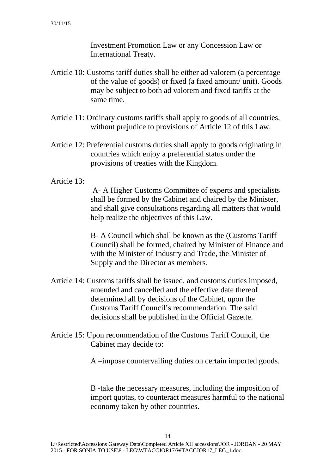Investment Promotion Law or any Concession Law or International Treaty.

- Article 10: Customs tariff duties shall be either ad valorem (a percentage of the value of goods) or fixed (a fixed amount/ unit). Goods may be subject to both ad valorem and fixed tariffs at the same time.
- Article 11: Ordinary customs tariffs shall apply to goods of all countries, without prejudice to provisions of Article 12 of this Law.
- Article 12: Preferential customs duties shall apply to goods originating in countries which enjoy a preferential status under the provisions of treaties with the Kingdom.
- Article 13:

 A- A Higher Customs Committee of experts and specialists shall be formed by the Cabinet and chaired by the Minister, and shall give consultations regarding all matters that would help realize the objectives of this Law.

B- A Council which shall be known as the (Customs Tariff Council) shall be formed, chaired by Minister of Finance and with the Minister of Industry and Trade, the Minister of Supply and the Director as members.

- Article 14: Customs tariffs shall be issued, and customs duties imposed, amended and cancelled and the effective date thereof determined all by decisions of the Cabinet, upon the Customs Tariff Council's recommendation. The said decisions shall be published in the Official Gazette.
- Article 15: Upon recommendation of the Customs Tariff Council, the Cabinet may decide to:

A –impose countervailing duties on certain imported goods.

B -take the necessary measures, including the imposition of import quotas, to counteract measures harmful to the national economy taken by other countries.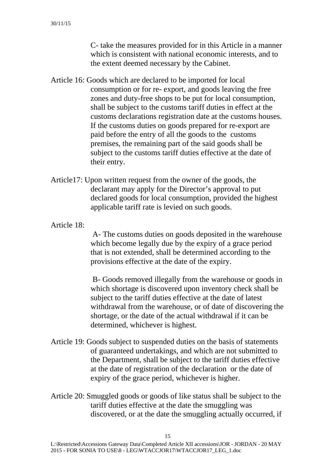C- take the measures provided for in this Article in a manner which is consistent with national economic interests, and to the extent deemed necessary by the Cabinet.

- Article 16: Goods which are declared to be imported for local consumption or for re- export, and goods leaving the free zones and duty-free shops to be put for local consumption, shall be subject to the customs tariff duties in effect at the customs declarations registration date at the customs houses. If the customs duties on goods prepared for re-export are paid before the entry of all the goods to the customs premises, the remaining part of the said goods shall be subject to the customs tariff duties effective at the date of their entry.
- Article17: Upon written request from the owner of the goods, the declarant may apply for the Director's approval to put declared goods for local consumption, provided the highest applicable tariff rate is levied on such goods.
- Article 18:

 A- The customs duties on goods deposited in the warehouse which become legally due by the expiry of a grace period that is not extended, shall be determined according to the provisions effective at the date of the expiry.

 B- Goods removed illegally from the warehouse or goods in which shortage is discovered upon inventory check shall be subject to the tariff duties effective at the date of latest withdrawal from the warehouse, or of date of discovering the shortage, or the date of the actual withdrawal if it can be determined, whichever is highest.

- Article 19: Goods subject to suspended duties on the basis of statements of guaranteed undertakings, and which are not submitted to the Department, shall be subject to the tariff duties effective at the date of registration of the declaration or the date of expiry of the grace period, whichever is higher.
- Article 20: Smuggled goods or goods of like status shall be subject to the tariff duties effective at the date the smuggling was discovered, or at the date the smuggling actually occurred, if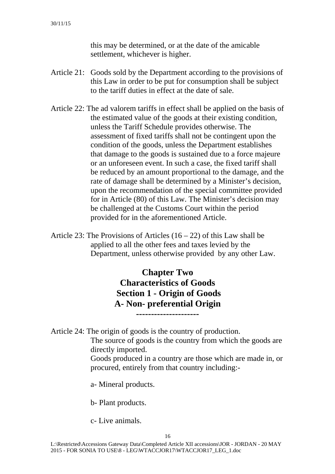this may be determined, or at the date of the amicable settlement, whichever is higher.

- Article 21: Goods sold by the Department according to the provisions of this Law in order to be put for consumption shall be subject to the tariff duties in effect at the date of sale.
- Article 22: The ad valorem tariffs in effect shall be applied on the basis of the estimated value of the goods at their existing condition, unless the Tariff Schedule provides otherwise. The assessment of fixed tariffs shall not be contingent upon the condition of the goods, unless the Department establishes that damage to the goods is sustained due to a force majeure or an unforeseen event. In such a case, the fixed tariff shall be reduced by an amount proportional to the damage, and the rate of damage shall be determined by a Minister's decision, upon the recommendation of the special committee provided for in Article (80) of this Law. The Minister's decision may be challenged at the Customs Court within the period provided for in the aforementioned Article.
- Article 23: The Provisions of Articles  $(16 22)$  of this Law shall be applied to all the other fees and taxes levied by the Department, unless otherwise provided by any other Law.

# **Chapter Two Characteristics of Goods Section 1 - Origin of Goods A- Non- preferential Origin**

**---------------------** 

Article 24: The origin of goods is the country of production.

The source of goods is the country from which the goods are directly imported.

Goods produced in a country are those which are made in, or procured, entirely from that country including:-

a- Mineral products.

b- Plant products.

c- Live animals.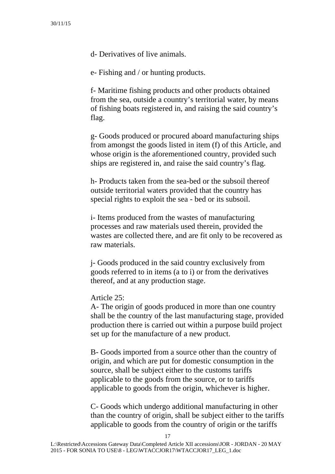d- Derivatives of live animals.

e- Fishing and / or hunting products.

f- Maritime fishing products and other products obtained from the sea, outside a country's territorial water, by means of fishing boats registered in, and raising the said country's flag.

g- Goods produced or procured aboard manufacturing ships from amongst the goods listed in item (f) of this Article, and whose origin is the aforementioned country, provided such ships are registered in, and raise the said country's flag.

h- Products taken from the sea-bed or the subsoil thereof outside territorial waters provided that the country has special rights to exploit the sea - bed or its subsoil.

i- Items produced from the wastes of manufacturing processes and raw materials used therein, provided the wastes are collected there, and are fit only to be recovered as raw materials.

j- Goods produced in the said country exclusively from goods referred to in items (a to i) or from the derivatives thereof, and at any production stage.

#### Article 25:

A- The origin of goods produced in more than one country shall be the country of the last manufacturing stage, provided production there is carried out within a purpose build project set up for the manufacture of a new product.

B- Goods imported from a source other than the country of origin, and which are put for domestic consumption in the source, shall be subject either to the customs tariffs applicable to the goods from the source, or to tariffs applicable to goods from the origin, whichever is higher.

C- Goods which undergo additional manufacturing in other than the country of origin, shall be subject either to the tariffs applicable to goods from the country of origin or the tariffs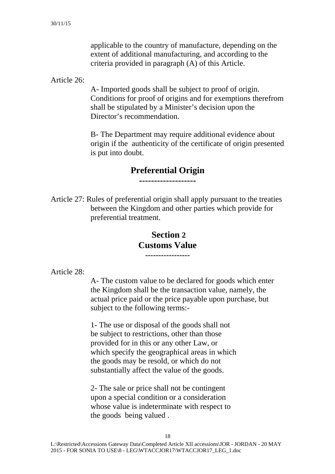applicable to the country of manufacture, depending on the extent of additional manufacturing, and according to the criteria provided in paragraph (A) of this Article.

Article 26:

A- Imported goods shall be subject to proof of origin. Conditions for proof of origins and for exemptions therefrom shall be stipulated by a Minister's decision upon the Director's recommendation.

B- The Department may require additional evidence about origin if the authenticity of the certificate of origin presented is put into doubt.

### **Preferential Origin**

**-------------------** 

Article 27: Rules of preferential origin shall apply pursuant to the treaties between the Kingdom and other parties which provide for preferential treatment.

### **Section 2 Customs Value -----------------**

Article 28:

A- The custom value to be declared for goods which enter the Kingdom shall be the transaction value, namely, the actual price paid or the price payable upon purchase, but subject to the following terms:-

1- The use or disposal of the goods shall not be subject to restrictions, other than those provided for in this or any other Law, or which specify the geographical areas in which the goods may be resold, or which do not substantially affect the value of the goods.

2- The sale or price shall not be contingent upon a special condition or a consideration whose value is indeterminate with respect to the goods being valued .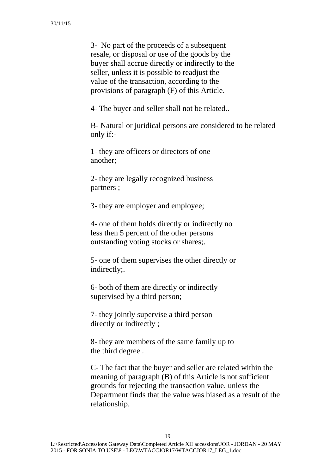3- No part of the proceeds of a subsequent resale, or disposal or use of the goods by the buyer shall accrue directly or indirectly to the seller, unless it is possible to readjust the value of the transaction, according to the provisions of paragraph (F) of this Article.

4- The buyer and seller shall not be related..

B- Natural or juridical persons are considered to be related only if:-

1- they are officers or directors of one another;

2- they are legally recognized business partners ;

3- they are employer and employee;

4- one of them holds directly or indirectly no less then 5 percent of the other persons outstanding voting stocks or shares;.

5- one of them supervises the other directly or indirectly;.

6- both of them are directly or indirectly supervised by a third person;

7- they jointly supervise a third person directly or indirectly ;

8- they are members of the same family up to the third degree .

C- The fact that the buyer and seller are related within the meaning of paragraph (B) of this Article is not sufficient grounds for rejecting the transaction value, unless the Department finds that the value was biased as a result of the relationship.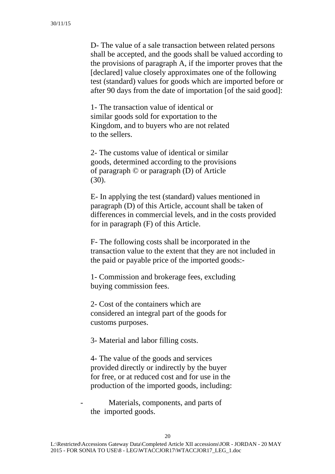D- The value of a sale transaction between related persons shall be accepted, and the goods shall be valued according to the provisions of paragraph A, if the importer proves that the [declared] value closely approximates one of the following test (standard) values for goods which are imported before or after 90 days from the date of importation [of the said good]:

1- The transaction value of identical or similar goods sold for exportation to the Kingdom, and to buyers who are not related to the sellers.

2- The customs value of identical or similar goods, determined according to the provisions of paragraph © or paragraph (D) of Article (30).

E- In applying the test (standard) values mentioned in paragraph (D) of this Article, account shall be taken of differences in commercial levels, and in the costs provided for in paragraph (F) of this Article.

F- The following costs shall be incorporated in the transaction value to the extent that they are not included in the paid or payable price of the imported goods:-

1- Commission and brokerage fees, excluding buying commission fees.

2- Cost of the containers which are considered an integral part of the goods for customs purposes.

3- Material and labor filling costs.

4- The value of the goods and services provided directly or indirectly by the buyer for free, or at reduced cost and for use in the production of the imported goods, including:

Materials, components, and parts of the imported goods.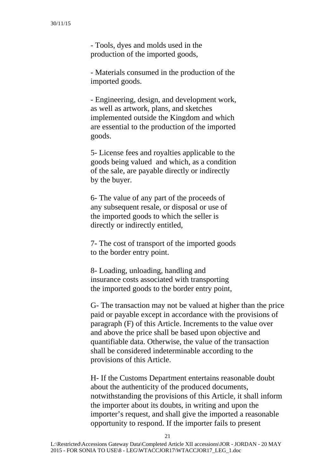- Tools, dyes and molds used in the production of the imported goods,

- Materials consumed in the production of the imported goods.

- Engineering, design, and development work, as well as artwork, plans, and sketches implemented outside the Kingdom and which are essential to the production of the imported goods.

5- License fees and royalties applicable to the goods being valued and which, as a condition of the sale, are payable directly or indirectly by the buyer.

6- The value of any part of the proceeds of any subsequent resale, or disposal or use of the imported goods to which the seller is directly or indirectly entitled,

7- The cost of transport of the imported goods to the border entry point.

8- Loading, unloading, handling and insurance costs associated with transporting the imported goods to the border entry point,

G- The transaction may not be valued at higher than the price paid or payable except in accordance with the provisions of paragraph (F) of this Article. Increments to the value over and above the price shall be based upon objective and quantifiable data. Otherwise, the value of the transaction shall be considered indeterminable according to the provisions of this Article.

H- If the Customs Department entertains reasonable doubt about the authenticity of the produced documents, notwithstanding the provisions of this Article, it shall inform the importer about its doubts, in writing and upon the importer's request, and shall give the imported a reasonable opportunity to respond. If the importer fails to present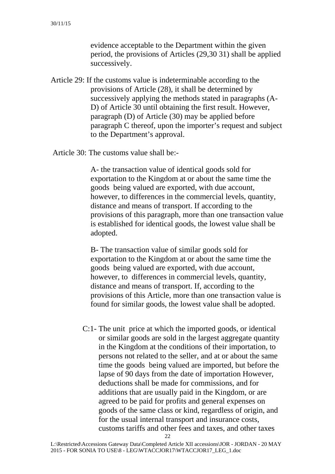evidence acceptable to the Department within the given period, the provisions of Articles (29,30 31) shall be applied successively.

Article 29: If the customs value is indeterminable according to the provisions of Article (28), it shall be determined by successively applying the methods stated in paragraphs (A-D) of Article 30 until obtaining the first result. However, paragraph (D) of Article (30) may be applied before paragraph C thereof, upon the importer's request and subject to the Department's approval.

Article 30: The customs value shall be:-

A- the transaction value of identical goods sold for exportation to the Kingdom at or about the same time the goods being valued are exported, with due account, however, to differences in the commercial levels, quantity, distance and means of transport. If according to the provisions of this paragraph, more than one transaction value is established for identical goods, the lowest value shall be adopted.

B- The transaction value of similar goods sold for exportation to the Kingdom at or about the same time the goods being valued are exported, with due account, however, to differences in commercial levels, quantity, distance and means of transport. If, according to the provisions of this Article, more than one transaction value is found for similar goods, the lowest value shall be adopted.

C:1- The unit price at which the imported goods, or identical or similar goods are sold in the largest aggregate quantity in the Kingdom at the conditions of their importation, to persons not related to the seller, and at or about the same time the goods being valued are imported, but before the lapse of 90 days from the date of importation However, deductions shall be made for commissions, and for additions that are usually paid in the Kingdom, or are agreed to be paid for profits and general expenses on goods of the same class or kind, regardless of origin, and for the usual internal transport and insurance costs, customs tariffs and other fees and taxes, and other taxes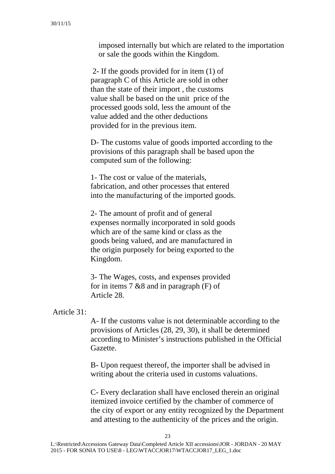imposed internally but which are related to the importation or sale the goods within the Kingdom.

 2- If the goods provided for in item (1) of paragraph C of this Article are sold in other than the state of their import , the customs value shall be based on the unit price of the processed goods sold, less the amount of the value added and the other deductions provided for in the previous item.

D- The customs value of goods imported according to the provisions of this paragraph shall be based upon the computed sum of the following:

1- The cost or value of the materials, fabrication, and other processes that entered into the manufacturing of the imported goods.

2- The amount of profit and of general expenses normally incorporated in sold goods which are of the same kind or class as the goods being valued, and are manufactured in the origin purposely for being exported to the Kingdom.

3- The Wages, costs, and expenses provided for in items 7 &8 and in paragraph (F) of Article 28.

Article 31:

A- If the customs value is not determinable according to the provisions of Articles (28, 29, 30), it shall be determined according to Minister's instructions published in the Official Gazette.

B- Upon request thereof, the importer shall be advised in writing about the criteria used in customs valuations.

C- Every declaration shall have enclosed therein an original itemized invoice certified by the chamber of commerce of the city of export or any entity recognized by the Department and attesting to the authenticity of the prices and the origin.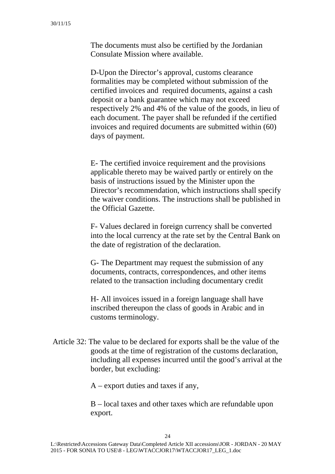The documents must also be certified by the Jordanian Consulate Mission where available.

D-Upon the Director's approval, customs clearance formalities may be completed without submission of the certified invoices and required documents, against a cash deposit or a bank guarantee which may not exceed respectively 2% and 4% of the value of the goods, in lieu of each document. The payer shall be refunded if the certified invoices and required documents are submitted within (60) days of payment.

E- The certified invoice requirement and the provisions applicable thereto may be waived partly or entirely on the basis of instructions issued by the Minister upon the Director's recommendation, which instructions shall specify the waiver conditions. The instructions shall be published in the Official Gazette.

F- Values declared in foreign currency shall be converted into the local currency at the rate set by the Central Bank on the date of registration of the declaration.

G- The Department may request the submission of any documents, contracts, correspondences, and other items related to the transaction including documentary credit

H- All invoices issued in a foreign language shall have inscribed thereupon the class of goods in Arabic and in customs terminology.

 Article 32: The value to be declared for exports shall be the value of the goods at the time of registration of the customs declaration, including all expenses incurred until the good's arrival at the border, but excluding:

A – export duties and taxes if any,

B – local taxes and other taxes which are refundable upon export.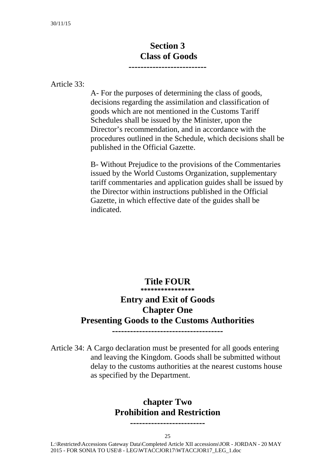# **Section 3 Class of Goods**

**--------------------------** 

Article 33:

A- For the purposes of determining the class of goods, decisions regarding the assimilation and classification of goods which are not mentioned in the Customs Tariff Schedules shall be issued by the Minister, upon the Director's recommendation, and in accordance with the procedures outlined in the Schedule, which decisions shall be published in the Official Gazette.

B- Without Prejudice to the provisions of the Commentaries issued by the World Customs Organization, supplementary tariff commentaries and application guides shall be issued by the Director within instructions published in the Official Gazette, in which effective date of the guides shall be indicated.

#### **Title FOUR \*\*\*\*\*\*\*\*\*\*\*\*\*\*\*\***

# **Entry and Exit of Goods Chapter One Presenting Goods to the Customs Authorities**

**-------------------------------------** 

Article 34: A Cargo declaration must be presented for all goods entering

### and leaving the Kingdom. Goods shall be submitted without delay to the customs authorities at the nearest customs house as specified by the Department.

### **chapter Two Prohibition and Restriction**

**-------------------------** 

25

 L:\Restricted\Accessions Gateway Data\Completed Article XII accessions\JOR - JORDAN - 20 MAY 2015 - FOR SONIA TO USE\8 - LEG\WTACCJOR17\WTACCJOR17\_LEG\_1.doc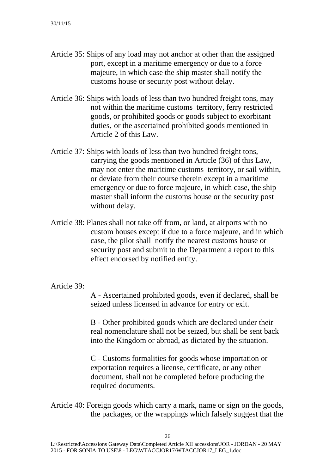- Article 35: Ships of any load may not anchor at other than the assigned port, except in a maritime emergency or due to a force majeure, in which case the ship master shall notify the customs house or security post without delay.
- Article 36: Ships with loads of less than two hundred freight tons, may not within the maritime customs territory, ferry restricted goods, or prohibited goods or goods subject to exorbitant duties, or the ascertained prohibited goods mentioned in Article 2 of this Law.
- Article 37: Ships with loads of less than two hundred freight tons, carrying the goods mentioned in Article (36) of this Law, may not enter the maritime customs territory, or sail within, or deviate from their course therein except in a maritime emergency or due to force majeure, in which case, the ship master shall inform the customs house or the security post without delay.
- Article 38: Planes shall not take off from, or land, at airports with no custom houses except if due to a force majeure, and in which case, the pilot shall notify the nearest customs house or security post and submit to the Department a report to this effect endorsed by notified entity.

Article 39:

A - Ascertained prohibited goods, even if declared, shall be seized unless licensed in advance for entry or exit.

B - Other prohibited goods which are declared under their real nomenclature shall not be seized, but shall be sent back into the Kingdom or abroad, as dictated by the situation.

C - Customs formalities for goods whose importation or exportation requires a license, certificate, or any other document, shall not be completed before producing the required documents.

Article 40: Foreign goods which carry a mark, name or sign on the goods, the packages, or the wrappings which falsely suggest that the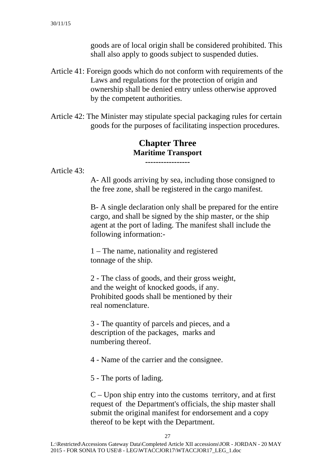goods are of local origin shall be considered prohibited. This shall also apply to goods subject to suspended duties.

- Article 41: Foreign goods which do not conform with requirements of the Laws and regulations for the protection of origin and ownership shall be denied entry unless otherwise approved by the competent authorities.
- Article 42: The Minister may stipulate special packaging rules for certain goods for the purposes of facilitating inspection procedures.

### **Chapter Three Maritime Transport -----------------**

Article 43:

A- All goods arriving by sea, including those consigned to the free zone, shall be registered in the cargo manifest.

B- A single declaration only shall be prepared for the entire cargo, and shall be signed by the ship master, or the ship agent at the port of lading. The manifest shall include the following information:-

1 – The name, nationality and registered tonnage of the ship.

2 - The class of goods, and their gross weight, and the weight of knocked goods, if any. Prohibited goods shall be mentioned by their real nomenclature.

3 - The quantity of parcels and pieces, and a description of the packages, marks and numbering thereof.

4 - Name of the carrier and the consignee.

5 - The ports of lading.

 $C -$  Upon ship entry into the customs territory, and at first request of the Department's officials, the ship master shall submit the original manifest for endorsement and a copy thereof to be kept with the Department.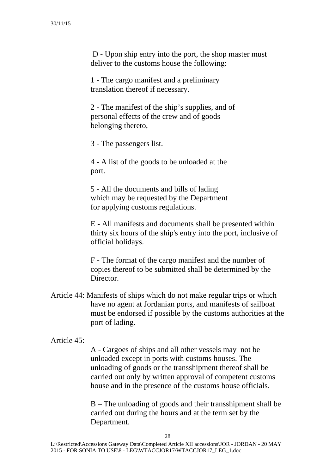D - Upon ship entry into the port, the shop master must deliver to the customs house the following:

1 - The cargo manifest and a preliminary translation thereof if necessary.

2 - The manifest of the ship's supplies, and of personal effects of the crew and of goods belonging thereto,

3 - The passengers list.

4 - A list of the goods to be unloaded at the port.

5 - All the documents and bills of lading which may be requested by the Department for applying customs regulations.

E - All manifests and documents shall be presented within thirty six hours of the ship's entry into the port, inclusive of official holidays.

F - The format of the cargo manifest and the number of copies thereof to be submitted shall be determined by the Director

Article 44: Manifests of ships which do not make regular trips or which have no agent at Jordanian ports, and manifests of sailboat must be endorsed if possible by the customs authorities at the port of lading.

#### Article 45:

A - Cargoes of ships and all other vessels may not be unloaded except in ports with customs houses. The unloading of goods or the transshipment thereof shall be carried out only by written approval of competent customs house and in the presence of the customs house officials.

B – The unloading of goods and their transshipment shall be carried out during the hours and at the term set by the Department.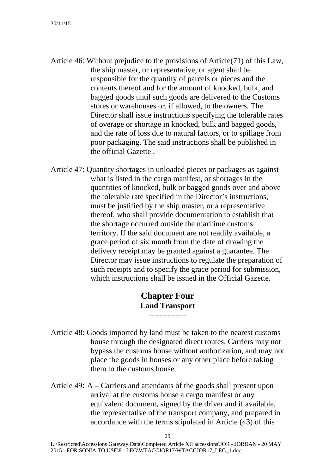- Article 46: Without prejudice to the provisions of Article(71) of this Law, the ship master, or representative, or agent shall be responsible for the quantity of parcels or pieces and the contents thereof and for the amount of knocked, bulk, and bagged goods until such goods are delivered to the Customs stores or warehouses or, if allowed, to the owners. The Director shall issue instructions specifying the tolerable rates of overage or shortage in knocked, bulk and bagged goods, and the rate of loss due to natural factors, or to spillage from poor packaging. The said instructions shall be published in the official Gazette .
- Article 47: Quantity shortages in unloaded pieces or packages as against what is listed in the cargo manifest, or shortages in the quantities of knocked, bulk or bagged goods over and above the tolerable rate specified in the Director's instructions, must be justified by the ship master, or a representative thereof, who shall provide documentation to establish that the shortage occurred outside the maritime customs territory. If the said document are not readily available, a grace period of six month from the date of drawing the delivery receipt may be granted against a guarantee. The Director may issue instructions to regulate the preparation of such receipts and to specify the grace period for submission, which instructions shall be issued in the Official Gazette.

### **Chapter Four Land Transport --------------**

- Article 48: Goods imported by land must be taken to the nearest customs house through the designated direct routes. Carriers may not bypass the customs house without authorization, and may not place the goods in houses or any other place before taking them to the customs house.
- Article 49**:** A Carriers and attendants of the goods shall present upon arrival at the customs house a cargo manifest or any equivalent document, signed by the driver and if available, the representative of the transport company, and prepared in accordance with the terms stipulated in Article (43) of this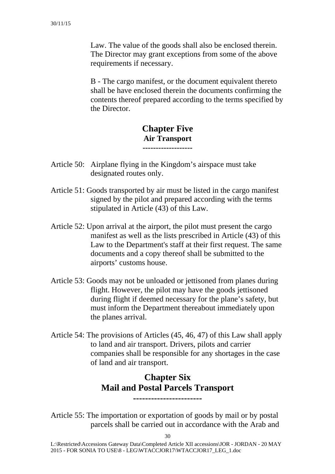Law. The value of the goods shall also be enclosed therein. The Director may grant exceptions from some of the above requirements if necessary.

B - The cargo manifest, or the document equivalent thereto shall be have enclosed therein the documents confirming the contents thereof prepared according to the terms specified by the Director.

#### **Chapter Five Air Transport -------------------**

- Article 50: Airplane flying in the Kingdom's airspace must take designated routes only.
- Article 51: Goods transported by air must be listed in the cargo manifest signed by the pilot and prepared according with the terms stipulated in Article (43) of this Law.
- Article 52: Upon arrival at the airport, the pilot must present the cargo manifest as well as the lists prescribed in Article (43) of this Law to the Department's staff at their first request. The same documents and a copy thereof shall be submitted to the airports' customs house.
- Article 53: Goods may not be unloaded or jettisoned from planes during flight. However, the pilot may have the goods jettisoned during flight if deemed necessary for the plane's safety, but must inform the Department thereabout immediately upon the planes arrival.
- Article 54: The provisions of Articles (45, 46, 47) of this Law shall apply to land and air transport. Drivers, pilots and carrier companies shall be responsible for any shortages in the case of land and air transport.

### **Chapter Six Mail and Postal Parcels Transport -----------------------**

Article 55: The importation or exportation of goods by mail or by postal parcels shall be carried out in accordance with the Arab and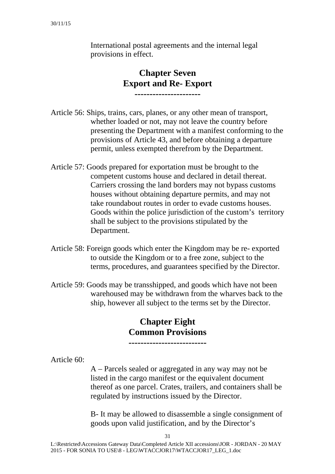International postal agreements and the internal legal provisions in effect.

### **Chapter Seven Export and Re- Export ----------------------**

Article 56: Ships, trains, cars, planes, or any other mean of transport, whether loaded or not, may not leave the country before presenting the Department with a manifest conforming to the provisions of Article 43, and before obtaining a departure permit, unless exempted therefrom by the Department.

- Article 57: Goods prepared for exportation must be brought to the competent customs house and declared in detail thereat. Carriers crossing the land borders may not bypass customs houses without obtaining departure permits, and may not take roundabout routes in order to evade customs houses. Goods within the police jurisdiction of the custom's territory shall be subject to the provisions stipulated by the Department.
- Article 58: Foreign goods which enter the Kingdom may be re- exported to outside the Kingdom or to a free zone, subject to the terms, procedures, and guarantees specified by the Director.
- Article 59: Goods may be transshipped, and goods which have not been warehoused may be withdrawn from the wharves back to the ship, however all subject to the terms set by the Director.

### **Chapter Eight Common Provisions --------------------------**

Article 60:

A – Parcels sealed or aggregated in any way may not be listed in the cargo manifest or the equivalent document thereof as one parcel. Crates, trailers, and containers shall be regulated by instructions issued by the Director.

B- It may be allowed to disassemble a single consignment of goods upon valid justification, and by the Director's

31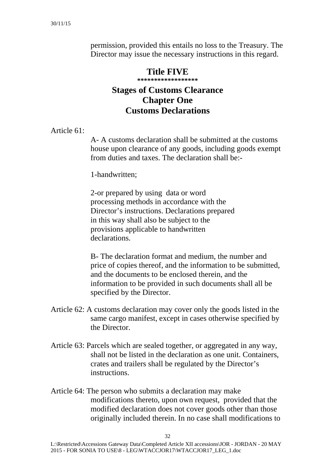permission, provided this entails no loss to the Treasury. The Director may issue the necessary instructions in this regard.

### **Title FIVE \*\*\*\*\*\*\*\*\*\*\*\*\*\*\*\*\*\* Stages of Customs Clearance Chapter One Customs Declarations**

Article 61:

A- A customs declaration shall be submitted at the customs house upon clearance of any goods, including goods exempt from duties and taxes. The declaration shall be:-

1-handwritten;

2-or prepared by using data or word processing methods in accordance with the Director's instructions. Declarations prepared in this way shall also be subject to the provisions applicable to handwritten declarations.

B- The declaration format and medium, the number and price of copies thereof, and the information to be submitted, and the documents to be enclosed therein, and the information to be provided in such documents shall all be specified by the Director.

- Article 62: A customs declaration may cover only the goods listed in the same cargo manifest, except in cases otherwise specified by the Director.
- Article 63: Parcels which are sealed together, or aggregated in any way, shall not be listed in the declaration as one unit. Containers, crates and trailers shall be regulated by the Director's instructions.
- Article 64: The person who submits a declaration may make modifications thereto, upon own request, provided that the modified declaration does not cover goods other than those originally included therein. In no case shall modifications to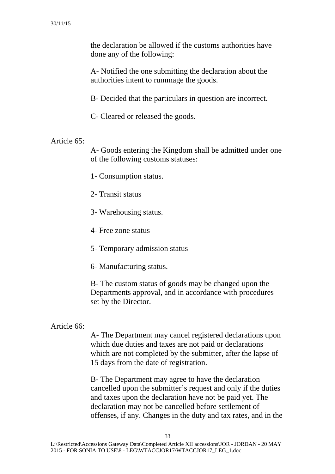the declaration be allowed if the customs authorities have done any of the following:

A- Notified the one submitting the declaration about the authorities intent to rummage the goods.

B- Decided that the particulars in question are incorrect.

C- Cleared or released the goods.

### Article 65:

A- Goods entering the Kingdom shall be admitted under one of the following customs statuses:

1- Consumption status.

- 2- Transit status
- 3- Warehousing status.
- 4- Free zone status
- 5- Temporary admission status
- 6- Manufacturing status.

B- The custom status of goods may be changed upon the Departments approval, and in accordance with procedures set by the Director.

#### Article 66:

A- The Department may cancel registered declarations upon which due duties and taxes are not paid or declarations which are not completed by the submitter, after the lapse of 15 days from the date of registration.

B- The Department may agree to have the declaration cancelled upon the submitter's request and only if the duties and taxes upon the declaration have not be paid yet. The declaration may not be cancelled before settlement of offenses, if any. Changes in the duty and tax rates, and in the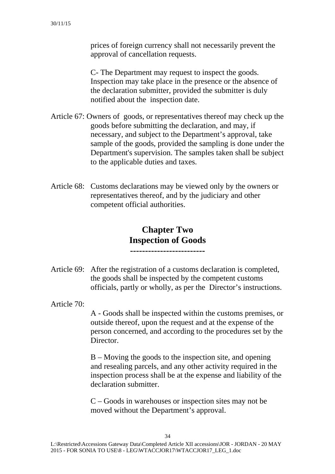prices of foreign currency shall not necessarily prevent the approval of cancellation requests.

C- The Department may request to inspect the goods. Inspection may take place in the presence or the absence of the declaration submitter, provided the submitter is duly notified about the inspection date.

- Article 67: Owners of goods, or representatives thereof may check up the goods before submitting the declaration, and may, if necessary, and subject to the Department's approval, take sample of the goods, provided the sampling is done under the Department's supervision. The samples taken shall be subject to the applicable duties and taxes.
- Article 68: Customs declarations may be viewed only by the owners or representatives thereof, and by the judiciary and other competent official authorities.

**Chapter Two Inspection of Goods -------------------------** 

- Article 69: After the registration of a customs declaration is completed, the goods shall be inspected by the competent customs officials, partly or wholly, as per the Director's instructions.
- Article 70:

A - Goods shall be inspected within the customs premises, or outside thereof, upon the request and at the expense of the person concerned, and according to the procedures set by the Director.

B – Moving the goods to the inspection site, and opening and resealing parcels, and any other activity required in the inspection process shall be at the expense and liability of the declaration submitter.

C – Goods in warehouses or inspection sites may not be moved without the Department's approval.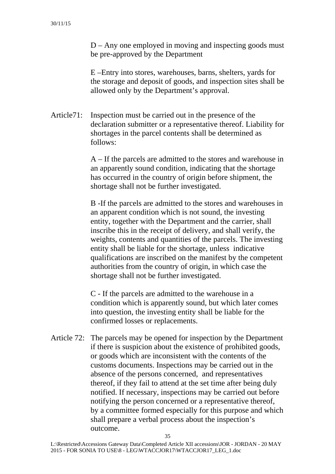D – Any one employed in moving and inspecting goods must be pre-approved by the Department

E –Entry into stores, warehouses, barns, shelters, yards for the storage and deposit of goods, and inspection sites shall be allowed only by the Department's approval.

Article71: Inspection must be carried out in the presence of the declaration submitter or a representative thereof. Liability for shortages in the parcel contents shall be determined as follows:

> A – If the parcels are admitted to the stores and warehouse in an apparently sound condition, indicating that the shortage has occurred in the country of origin before shipment, the shortage shall not be further investigated.

> B -If the parcels are admitted to the stores and warehouses in an apparent condition which is not sound, the investing entity, together with the Department and the carrier, shall inscribe this in the receipt of delivery, and shall verify, the weights, contents and quantities of the parcels. The investing entity shall be liable for the shortage, unless indicative qualifications are inscribed on the manifest by the competent authorities from the country of origin, in which case the shortage shall not be further investigated.

C - If the parcels are admitted to the warehouse in a condition which is apparently sound, but which later comes into question, the investing entity shall be liable for the confirmed losses or replacements.

Article 72: The parcels may be opened for inspection by the Department if there is suspicion about the existence of prohibited goods, or goods which are inconsistent with the contents of the customs documents. Inspections may be carried out in the absence of the persons concerned, and representatives thereof, if they fail to attend at the set time after being duly notified. If necessary, inspections may be carried out before notifying the person concerned or a representative thereof, by a committee formed especially for this purpose and which shall prepare a verbal process about the inspection's outcome.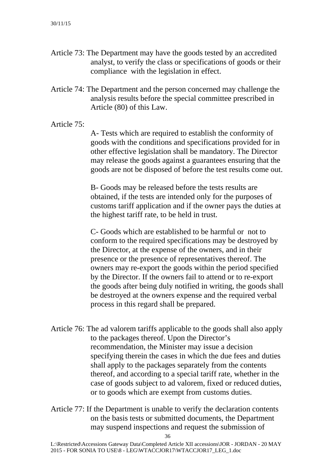- Article 73: The Department may have the goods tested by an accredited analyst, to verify the class or specifications of goods or their compliance with the legislation in effect.
- Article 74: The Department and the person concerned may challenge the analysis results before the special committee prescribed in Article (80) of this Law.

#### Article 75:

A- Tests which are required to establish the conformity of goods with the conditions and specifications provided for in other effective legislation shall be mandatory. The Director may release the goods against a guarantees ensuring that the goods are not be disposed of before the test results come out.

B- Goods may be released before the tests results are obtained, if the tests are intended only for the purposes of customs tariff application and if the owner pays the duties at the highest tariff rate, to be held in trust.

C- Goods which are established to be harmful or not to conform to the required specifications may be destroyed by the Director, at the expense of the owners, and in their presence or the presence of representatives thereof. The owners may re-export the goods within the period specified by the Director. If the owners fail to attend or to re-export the goods after being duly notified in writing, the goods shall be destroyed at the owners expense and the required verbal process in this regard shall be prepared.

- Article 76: The ad valorem tariffs applicable to the goods shall also apply to the packages thereof. Upon the Director's recommendation, the Minister may issue a decision specifying therein the cases in which the due fees and duties shall apply to the packages separately from the contents thereof, and according to a special tariff rate, whether in the case of goods subject to ad valorem, fixed or reduced duties, or to goods which are exempt from customs duties.
- Article 77: If the Department is unable to verify the declaration contents on the basis tests or submitted documents, the Department may suspend inspections and request the submission of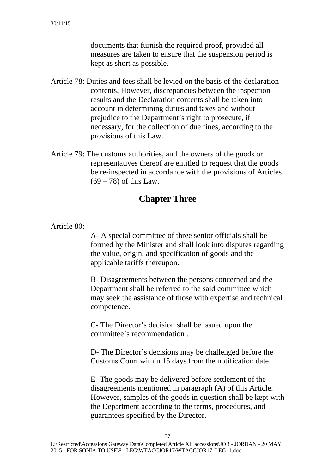documents that furnish the required proof, provided all measures are taken to ensure that the suspension period is kept as short as possible.

- Article 78: Duties and fees shall be levied on the basis of the declaration contents. However, discrepancies between the inspection results and the Declaration contents shall be taken into account in determining duties and taxes and without prejudice to the Department's right to prosecute, if necessary, for the collection of due fines, according to the provisions of this Law.
- Article 79: The customs authorities, and the owners of the goods or representatives thereof are entitled to request that the goods be re-inspected in accordance with the provisions of Articles  $(69 - 78)$  of this Law.

#### **Chapter Three --------------**

Article 80:

A- A special committee of three senior officials shall be formed by the Minister and shall look into disputes regarding the value, origin, and specification of goods and the applicable tariffs thereupon.

B- Disagreements between the persons concerned and the Department shall be referred to the said committee which may seek the assistance of those with expertise and technical competence.

C- The Director's decision shall be issued upon the committee's recommendation .

D- The Director's decisions may be challenged before the Customs Court within 15 days from the notification date.

E- The goods may be delivered before settlement of the disagreements mentioned in paragraph (A) of this Article. However, samples of the goods in question shall be kept with the Department according to the terms, procedures, and guarantees specified by the Director.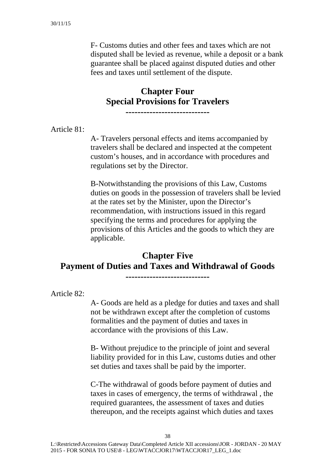F- Customs duties and other fees and taxes which are not disputed shall be levied as revenue, while a deposit or a bank guarantee shall be placed against disputed duties and other fees and taxes until settlement of the dispute.

# **Chapter Four Special Provisions for Travelers**

**----------------------------** 

Article 81:

A- Travelers personal effects and items accompanied by travelers shall be declared and inspected at the competent custom's houses, and in accordance with procedures and regulations set by the Director.

B-Notwithstanding the provisions of this Law, Customs duties on goods in the possession of travelers shall be levied at the rates set by the Minister, upon the Director's recommendation, with instructions issued in this regard specifying the terms and procedures for applying the provisions of this Articles and the goods to which they are applicable.

# **Chapter Five Payment of Duties and Taxes and Withdrawal of Goods**

**----------------------------**

Article 82:

A- Goods are held as a pledge for duties and taxes and shall not be withdrawn except after the completion of customs formalities and the payment of duties and taxes in accordance with the provisions of this Law.

B- Without prejudice to the principle of joint and several liability provided for in this Law, customs duties and other set duties and taxes shall be paid by the importer.

C-The withdrawal of goods before payment of duties and taxes in cases of emergency, the terms of withdrawal , the required guarantees, the assessment of taxes and duties thereupon, and the receipts against which duties and taxes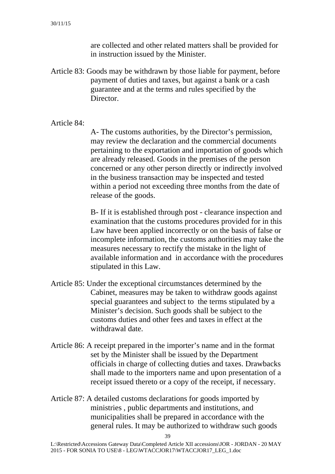are collected and other related matters shall be provided for in instruction issued by the Minister.

Article 83: Goods may be withdrawn by those liable for payment, before payment of duties and taxes, but against a bank or a cash guarantee and at the terms and rules specified by the Director.

Article 84:

A- The customs authorities, by the Director's permission, may review the declaration and the commercial documents pertaining to the exportation and importation of goods which are already released. Goods in the premises of the person concerned or any other person directly or indirectly involved in the business transaction may be inspected and tested within a period not exceeding three months from the date of release of the goods.

B- If it is established through post - clearance inspection and examination that the customs procedures provided for in this Law have been applied incorrectly or on the basis of false or incomplete information, the customs authorities may take the measures necessary to rectify the mistake in the light of available information and in accordance with the procedures stipulated in this Law.

- Article 85: Under the exceptional circumstances determined by the Cabinet, measures may be taken to withdraw goods against special guarantees and subject to the terms stipulated by a Minister's decision. Such goods shall be subject to the customs duties and other fees and taxes in effect at the withdrawal date.
- Article 86: A receipt prepared in the importer's name and in the format set by the Minister shall be issued by the Department officials in charge of collecting duties and taxes. Drawbacks shall made to the importers name and upon presentation of a receipt issued thereto or a copy of the receipt, if necessary.
- Article 87: A detailed customs declarations for goods imported by ministries , public departments and institutions, and municipalities shall be prepared in accordance with the general rules. It may be authorized to withdraw such goods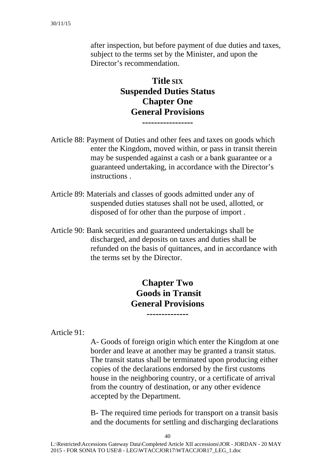after inspection, but before payment of due duties and taxes, subject to the terms set by the Minister, and upon the Director's recommendation.

### **Title SIX Suspended Duties Status Chapter One General Provisions -----------------**

- Article 88: Payment of Duties and other fees and taxes on goods which enter the Kingdom, moved within, or pass in transit therein may be suspended against a cash or a bank guarantee or a guaranteed undertaking, in accordance with the Director's instructions .
- Article 89: Materials and classes of goods admitted under any of suspended duties statuses shall not be used, allotted, or disposed of for other than the purpose of import .
- Article 90: Bank securities and guaranteed undertakings shall be discharged, and deposits on taxes and duties shall be refunded on the basis of quittances, and in accordance with the terms set by the Director.

# **Chapter Two Goods in Transit General Provisions**

**--------------** 

Article 91:

A- Goods of foreign origin which enter the Kingdom at one border and leave at another may be granted a transit status. The transit status shall be terminated upon producing either copies of the declarations endorsed by the first customs house in the neighboring country, or a certificate of arrival from the country of destination, or any other evidence accepted by the Department.

B- The required time periods for transport on a transit basis and the documents for settling and discharging declarations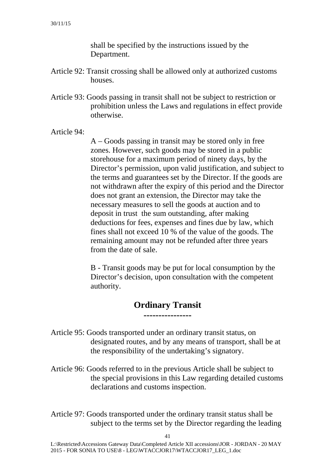shall be specified by the instructions issued by the Department.

- Article 92: Transit crossing shall be allowed only at authorized customs houses.
- Article 93: Goods passing in transit shall not be subject to restriction or prohibition unless the Laws and regulations in effect provide otherwise.

Article 94:

A – Goods passing in transit may be stored only in free zones. However, such goods may be stored in a public storehouse for a maximum period of ninety days, by the Director's permission, upon valid justification, and subject to the terms and guarantees set by the Director. If the goods are not withdrawn after the expiry of this period and the Director does not grant an extension, the Director may take the necessary measures to sell the goods at auction and to deposit in trust the sum outstanding, after making deductions for fees, expenses and fines due by law, which fines shall not exceed 10 % of the value of the goods. The remaining amount may not be refunded after three years from the date of sale.

B - Transit goods may be put for local consumption by the Director's decision, upon consultation with the competent authority.

### **Ordinary Transit ----------------**

- Article 95: Goods transported under an ordinary transit status, on designated routes, and by any means of transport, shall be at the responsibility of the undertaking's signatory.
- Article 96: Goods referred to in the previous Article shall be subject to the special provisions in this Law regarding detailed customs declarations and customs inspection.
- Article 97: Goods transported under the ordinary transit status shall be subject to the terms set by the Director regarding the leading

41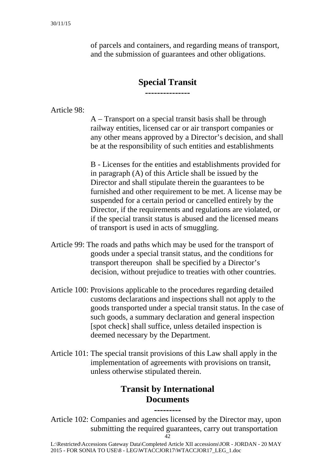of parcels and containers, and regarding means of transport, and the submission of guarantees and other obligations.

# **Special Transit ---------------**

Article 98:

A – Transport on a special transit basis shall be through railway entities, licensed car or air transport companies or any other means approved by a Director's decision, and shall be at the responsibility of such entities and establishments

B - Licenses for the entities and establishments provided for in paragraph (A) of this Article shall be issued by the Director and shall stipulate therein the guarantees to be furnished and other requirement to be met. A license may be suspended for a certain period or cancelled entirely by the Director, if the requirements and regulations are violated, or if the special transit status is abused and the licensed means of transport is used in acts of smuggling.

- Article 99: The roads and paths which may be used for the transport of goods under a special transit status, and the conditions for transport thereupon shall be specified by a Director's decision, without prejudice to treaties with other countries.
- Article 100: Provisions applicable to the procedures regarding detailed customs declarations and inspections shall not apply to the goods transported under a special transit status. In the case of such goods, a summary declaration and general inspection [spot check] shall suffice, unless detailed inspection is deemed necessary by the Department.
- Article 101: The special transit provisions of this Law shall apply in the implementation of agreements with provisions on transit, unless otherwise stipulated therein.

# **Transit by International Documents**

**---------** 

Article 102: Companies and agencies licensed by the Director may, upon submitting the required guarantees, carry out transportation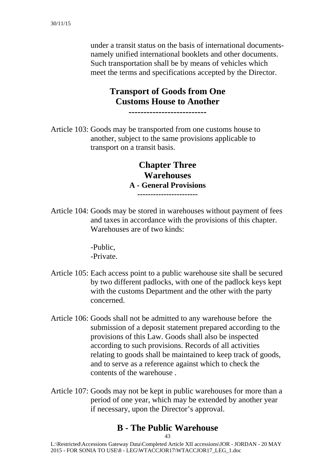under a transit status on the basis of international documentsnamely unified international booklets and other documents. Such transportation shall be by means of vehicles which meet the terms and specifications accepted by the Director.

# **Transport of Goods from One Customs House to Another**

**--------------------------** 

Article 103: Goods may be transported from one customs house to another, subject to the same provisions applicable to transport on a transit basis.

> **Chapter Three Warehouses A - General Provisions -----------------------**

Article 104: Goods may be stored in warehouses without payment of fees and taxes in accordance with the provisions of this chapter. Warehouses are of two kinds:

> -Public, -Private.

- Article 105: Each access point to a public warehouse site shall be secured by two different padlocks, with one of the padlock keys kept with the customs Department and the other with the party concerned.
- Article 106: Goods shall not be admitted to any warehouse before the submission of a deposit statement prepared according to the provisions of this Law. Goods shall also be inspected according to such provisions. Records of all activities relating to goods shall be maintained to keep track of goods, and to serve as a reference against which to check the contents of the warehouse .
- Article 107: Goods may not be kept in public warehouses for more than a period of one year, which may be extended by another year if necessary, upon the Director's approval.

### **B - The Public Warehouse**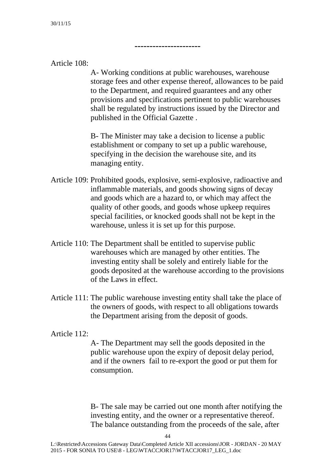### Article 108:

A- Working conditions at public warehouses, warehouse storage fees and other expense thereof, allowances to be paid to the Department, and required guarantees and any other provisions and specifications pertinent to public warehouses shall be regulated by instructions issued by the Director and published in the Official Gazette .

**----------------------** 

B- The Minister may take a decision to license a public establishment or company to set up a public warehouse, specifying in the decision the warehouse site, and its managing entity.

- Article 109: Prohibited goods, explosive, semi-explosive, radioactive and inflammable materials, and goods showing signs of decay and goods which are a hazard to, or which may affect the quality of other goods, and goods whose upkeep requires special facilities, or knocked goods shall not be kept in the warehouse, unless it is set up for this purpose.
- Article 110: The Department shall be entitled to supervise public warehouses which are managed by other entities. The investing entity shall be solely and entirely liable for the goods deposited at the warehouse according to the provisions of the Laws in effect.
- Article 111: The public warehouse investing entity shall take the place of the owners of goods, with respect to all obligations towards the Department arising from the deposit of goods.

#### Article 112:

A- The Department may sell the goods deposited in the public warehouse upon the expiry of deposit delay period, and if the owners fail to re-export the good or put them for consumption.

B- The sale may be carried out one month after notifying the investing entity, and the owner or a representative thereof. The balance outstanding from the proceeds of the sale, after

 $\overline{A}$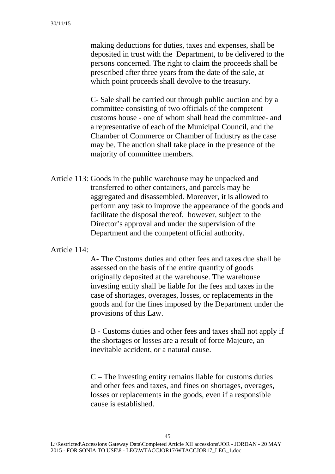making deductions for duties, taxes and expenses, shall be deposited in trust with the Department, to be delivered to the persons concerned. The right to claim the proceeds shall be prescribed after three years from the date of the sale, at which point proceeds shall devolve to the treasury.

C- Sale shall be carried out through public auction and by a committee consisting of two officials of the competent customs house - one of whom shall head the committee- and a representative of each of the Municipal Council, and the Chamber of Commerce or Chamber of Industry as the case may be. The auction shall take place in the presence of the majority of committee members.

Article 113: Goods in the public warehouse may be unpacked and transferred to other containers, and parcels may be aggregated and disassembled. Moreover, it is allowed to perform any task to improve the appearance of the goods and facilitate the disposal thereof, however, subject to the Director's approval and under the supervision of the Department and the competent official authority.

### Article 114:

A- The Customs duties and other fees and taxes due shall be assessed on the basis of the entire quantity of goods originally deposited at the warehouse. The warehouse investing entity shall be liable for the fees and taxes in the case of shortages, overages, losses, or replacements in the goods and for the fines imposed by the Department under the provisions of this Law.

B - Customs duties and other fees and taxes shall not apply if the shortages or losses are a result of force Majeure, an inevitable accident, or a natural cause.

C – The investing entity remains liable for customs duties and other fees and taxes, and fines on shortages, overages, losses or replacements in the goods, even if a responsible cause is established.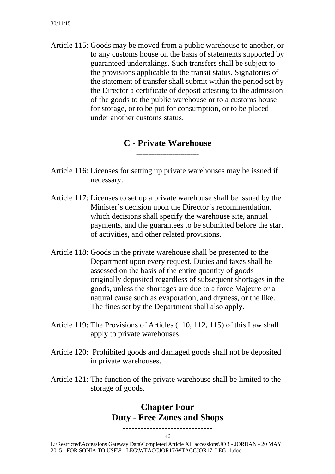Article 115: Goods may be moved from a public warehouse to another, or to any customs house on the basis of statements supported by guaranteed undertakings. Such transfers shall be subject to the provisions applicable to the transit status. Signatories of the statement of transfer shall submit within the period set by the Director a certificate of deposit attesting to the admission of the goods to the public warehouse or to a customs house for storage, or to be put for consumption, or to be placed under another customs status.

#### **C - Private Warehouse ---------------------**

- Article 116: Licenses for setting up private warehouses may be issued if necessary.
- Article 117: Licenses to set up a private warehouse shall be issued by the Minister's decision upon the Director's recommendation, which decisions shall specify the warehouse site, annual payments, and the guarantees to be submitted before the start of activities, and other related provisions.
- Article 118: Goods in the private warehouse shall be presented to the Department upon every request. Duties and taxes shall be assessed on the basis of the entire quantity of goods originally deposited regardless of subsequent shortages in the goods, unless the shortages are due to a force Majeure or a natural cause such as evaporation, and dryness, or the like. The fines set by the Department shall also apply.
- Article 119: The Provisions of Articles (110, 112, 115) of this Law shall apply to private warehouses.
- Article 120: Prohibited goods and damaged goods shall not be deposited in private warehouses.
- Article 121: The function of the private warehouse shall be limited to the storage of goods.

### **Chapter Four Duty - Free Zones and Shops**

46 **------------------------------** 

 L:\Restricted\Accessions Gateway Data\Completed Article XII accessions\JOR - JORDAN - 20 MAY 2015 - FOR SONIA TO USE\8 - LEG\WTACCJOR17\WTACCJOR17\_LEG\_1.doc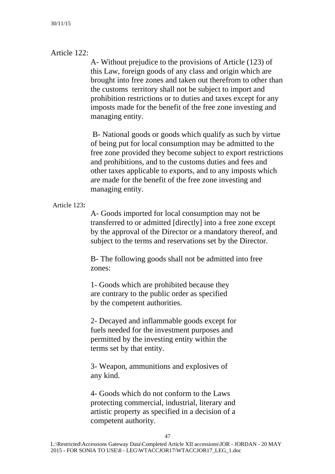### Article 122:

A- Without prejudice to the provisions of Article (123) of this Law, foreign goods of any class and origin which are brought into free zones and taken out therefrom to other than the customs territory shall not be subject to import and prohibition restrictions or to duties and taxes except for any imposts made for the benefit of the free zone investing and managing entity.

 B- National goods or goods which qualify as such by virtue of being put for local consumption may be admitted to the free zone provided they become subject to export restrictions and prohibitions, and to the customs duties and fees and other taxes applicable to exports, and to any imposts which are made for the benefit of the free zone investing and managing entity.

#### Article 123**:**

A- Goods imported for local consumption may not be transferred to or admitted [directly] into a free zone except by the approval of the Director or a mandatory thereof, and subject to the terms and reservations set by the Director.

B- The following goods shall not be admitted into free zones:

1- Goods which are prohibited because they are contrary to the public order as specified by the competent authorities.

2- Decayed and inflammable goods except for fuels needed for the investment purposes and permitted by the investing entity within the terms set by that entity.

3- Weapon, ammunitions and explosives of any kind.

4- Goods which do not conform to the Laws protecting commercial, industrial, literary and artistic property as specified in a decision of a competent authority.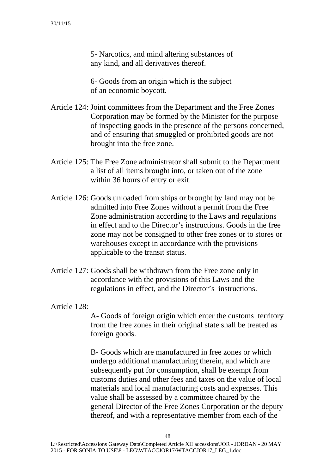5- Narcotics, and mind altering substances of any kind, and all derivatives thereof.

6- Goods from an origin which is the subject of an economic boycott.

- Article 124: Joint committees from the Department and the Free Zones Corporation may be formed by the Minister for the purpose of inspecting goods in the presence of the persons concerned, and of ensuring that smuggled or prohibited goods are not brought into the free zone.
- Article 125: The Free Zone administrator shall submit to the Department a list of all items brought into, or taken out of the zone within 36 hours of entry or exit.
- Article 126: Goods unloaded from ships or brought by land may not be admitted into Free Zones without a permit from the Free Zone administration according to the Laws and regulations in effect and to the Director's instructions. Goods in the free zone may not be consigned to other free zones or to stores or warehouses except in accordance with the provisions applicable to the transit status.
- Article 127: Goods shall be withdrawn from the Free zone only in accordance with the provisions of this Laws and the regulations in effect, and the Director's instructions.

Article 128:

A- Goods of foreign origin which enter the customs territory from the free zones in their original state shall be treated as foreign goods.

B- Goods which are manufactured in free zones or which undergo additional manufacturing therein, and which are subsequently put for consumption, shall be exempt from customs duties and other fees and taxes on the value of local materials and local manufacturing costs and expenses. This value shall be assessed by a committee chaired by the general Director of the Free Zones Corporation or the deputy thereof, and with a representative member from each of the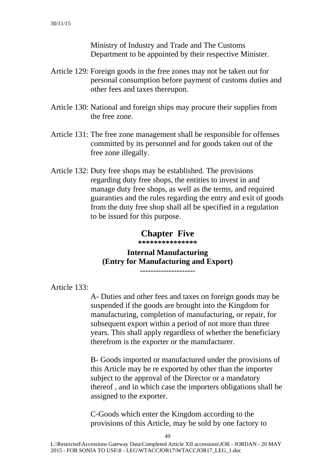Ministry of Industry and Trade and The Customs Department to be appointed by their respective Minister.

- Article 129: Foreign goods in the free zones may not be taken out for personal consumption before payment of customs duties and other fees and taxes thereupon.
- Article 130: National and foreign ships may procure their supplies from the free zone.
- Article 131: The free zone management shall be responsible for offenses committed by its personnel and for goods taken out of the free zone illegally.
- Article 132: Duty free shops may be established. The provisions regarding duty free shops, the entities to invest in and manage duty free shops, as well as the terms, and required guaranties and the rules regarding the entry and exit of goods from the duty free shop shall all be specified in a regulation to be issued for this purpose.

### **Chapter Five**

**\*\*\*\*\*\*\*\*\*\*\*\*\*\*\*** 

# **Internal Manufacturing (Entry for Manufacturing and Export)**

**---------------------** 

Article 133:

A- Duties and other fees and taxes on foreign goods may be suspended if the goods are brought into the Kingdom for manufacturing, completion of manufacturing, or repair, for subsequent export within a period of not more than three years. This shall apply regardless of whether the beneficiary therefrom is the exporter or the manufacturer.

B- Goods imported or manufactured under the provisions of this Article may be re exported by other than the importer subject to the approval of the Director or a mandatory thereof , and in which case the importers obligations shall be assigned to the exporter.

C-Goods which enter the Kingdom according to the provisions of this Article, may be sold by one factory to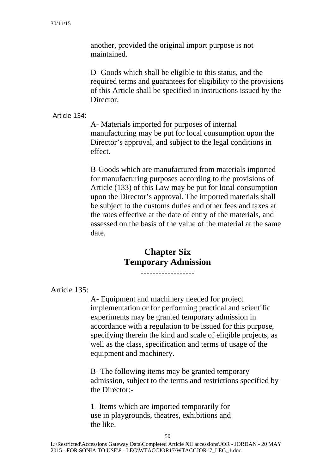another, provided the original import purpose is not maintained.

D- Goods which shall be eligible to this status, and the required terms and guarantees for eligibility to the provisions of this Article shall be specified in instructions issued by the Director.

Article 134:

A- Materials imported for purposes of internal manufacturing may be put for local consumption upon the Director's approval, and subject to the legal conditions in effect.

B-Goods which are manufactured from materials imported for manufacturing purposes according to the provisions of Article (133) of this Law may be put for local consumption upon the Director's approval. The imported materials shall be subject to the customs duties and other fees and taxes at the rates effective at the date of entry of the materials, and assessed on the basis of the value of the material at the same date.

# **Chapter Six Temporary Admission**

**------------------** 

Article 135:

A- Equipment and machinery needed for project implementation or for performing practical and scientific experiments may be granted temporary admission in accordance with a regulation to be issued for this purpose, specifying therein the kind and scale of eligible projects, as well as the class, specification and terms of usage of the equipment and machinery.

B- The following items may be granted temporary admission, subject to the terms and restrictions specified by the Director:-

1- Items which are imported temporarily for use in playgrounds, theatres, exhibitions and the like.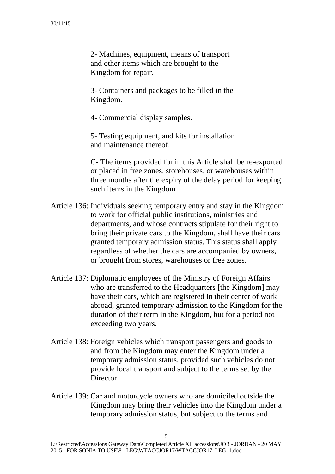2- Machines, equipment, means of transport and other items which are brought to the Kingdom for repair.

3- Containers and packages to be filled in the Kingdom.

4- Commercial display samples.

5- Testing equipment, and kits for installation and maintenance thereof.

C- The items provided for in this Article shall be re-exported or placed in free zones, storehouses, or warehouses within three months after the expiry of the delay period for keeping such items in the Kingdom

- Article 136: Individuals seeking temporary entry and stay in the Kingdom to work for official public institutions, ministries and departments, and whose contracts stipulate for their right to bring their private cars to the Kingdom, shall have their cars granted temporary admission status. This status shall apply regardless of whether the cars are accompanied by owners, or brought from stores, warehouses or free zones.
- Article 137: Diplomatic employees of the Ministry of Foreign Affairs who are transferred to the Headquarters [the Kingdom] may have their cars, which are registered in their center of work abroad, granted temporary admission to the Kingdom for the duration of their term in the Kingdom, but for a period not exceeding two years.
- Article 138: Foreign vehicles which transport passengers and goods to and from the Kingdom may enter the Kingdom under a temporary admission status, provided such vehicles do not provide local transport and subject to the terms set by the Director.
- Article 139: Car and motorcycle owners who are domiciled outside the Kingdom may bring their vehicles into the Kingdom under a temporary admission status, but subject to the terms and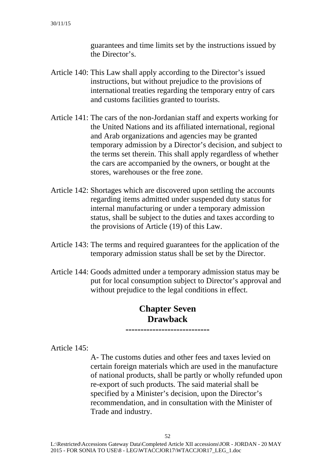guarantees and time limits set by the instructions issued by the Director's.

- Article 140: This Law shall apply according to the Director's issued instructions, but without prejudice to the provisions of international treaties regarding the temporary entry of cars and customs facilities granted to tourists.
- Article 141: The cars of the non-Jordanian staff and experts working for the United Nations and its affiliated international, regional and Arab organizations and agencies may be granted temporary admission by a Director's decision, and subject to the terms set therein. This shall apply regardless of whether the cars are accompanied by the owners, or bought at the stores, warehouses or the free zone.
- Article 142: Shortages which are discovered upon settling the accounts regarding items admitted under suspended duty status for internal manufacturing or under a temporary admission status, shall be subject to the duties and taxes according to the provisions of Article (19) of this Law.
- Article 143: The terms and required guarantees for the application of the temporary admission status shall be set by the Director.
- Article 144: Goods admitted under a temporary admission status may be put for local consumption subject to Director's approval and without prejudice to the legal conditions in effect.

# **Chapter Seven Drawback**

**----------------------------** 

Article 145:

A- The customs duties and other fees and taxes levied on certain foreign materials which are used in the manufacture of national products, shall be partly or wholly refunded upon re-export of such products. The said material shall be specified by a Minister's decision, upon the Director's recommendation, and in consultation with the Minister of Trade and industry.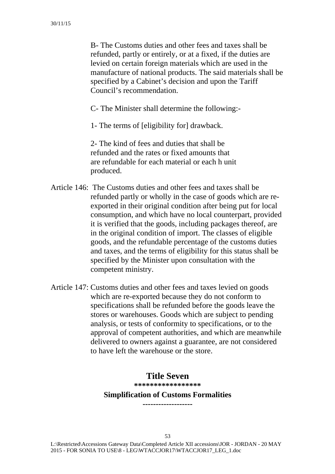B- The Customs duties and other fees and taxes shall be refunded, partly or entirely, or at a fixed, if the duties are levied on certain foreign materials which are used in the manufacture of national products. The said materials shall be specified by a Cabinet's decision and upon the Tariff Council's recommendation.

C- The Minister shall determine the following:-

1- The terms of [eligibility for] drawback.

2- The kind of fees and duties that shall be refunded and the rates or fixed amounts that are refundable for each material or each h unit produced.

- Article 146: The Customs duties and other fees and taxes shall be refunded partly or wholly in the case of goods which are reexported in their original condition after being put for local consumption, and which have no local counterpart, provided it is verified that the goods, including packages thereof, are in the original condition of import. The classes of eligible goods, and the refundable percentage of the customs duties and taxes, and the terms of eligibility for this status shall be specified by the Minister upon consultation with the competent ministry.
- Article 147: Customs duties and other fees and taxes levied on goods which are re-exported because they do not conform to specifications shall be refunded before the goods leave the stores or warehouses. Goods which are subject to pending analysis, or tests of conformity to specifications, or to the approval of competent authorities, and which are meanwhile delivered to owners against a guarantee, are not considered to have left the warehouse or the store.

### **Title Seven**

**\*\*\*\*\*\*\*\*\*\*\*\*\*\*\*\*\*** 

#### **Simplification of Customs Formalities -------------------**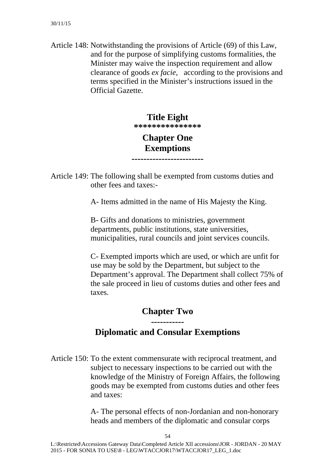Article 148: Notwithstanding the provisions of Article (69) of this Law, and for the purpose of simplifying customs formalities, the Minister may waive the inspection requirement and allow clearance of goods *ex facie,* according to the provisions and terms specified in the Minister's instructions issued in the Official Gazette.

### **Title Eight \*\*\*\*\*\*\*\*\*\*\*\*\*\*\***

# **Chapter One Exemptions**

**------------------------** 

Article 149: The following shall be exempted from customs duties and other fees and taxes:-

A- Items admitted in the name of His Majesty the King.

B- Gifts and donations to ministries, government departments, public institutions, state universities, municipalities, rural councils and joint services councils.

C- Exempted imports which are used, or which are unfit for use may be sold by the Department, but subject to the Department's approval. The Department shall collect 75% of the sale proceed in lieu of customs duties and other fees and taxes.

# **Chapter Two -----------**

### **Diplomatic and Consular Exemptions**

Article 150: To the extent commensurate with reciprocal treatment, and subject to necessary inspections to be carried out with the knowledge of the Ministry of Foreign Affairs, the following goods may be exempted from customs duties and other fees and taxes:

> A- The personal effects of non-Jordanian and non-honorary heads and members of the diplomatic and consular corps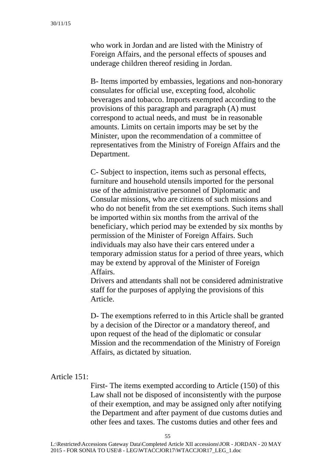who work in Jordan and are listed with the Ministry of Foreign Affairs, and the personal effects of spouses and underage children thereof residing in Jordan.

B- Items imported by embassies, legations and non-honorary consulates for official use, excepting food, alcoholic beverages and tobacco. Imports exempted according to the provisions of this paragraph and paragraph (A) must correspond to actual needs, and must be in reasonable amounts. Limits on certain imports may be set by the Minister, upon the recommendation of a committee of representatives from the Ministry of Foreign Affairs and the Department.

C- Subject to inspection, items such as personal effects, furniture and household utensils imported for the personal use of the administrative personnel of Diplomatic and Consular missions, who are citizens of such missions and who do not benefit from the set exemptions. Such items shall be imported within six months from the arrival of the beneficiary, which period may be extended by six months by permission of the Minister of Foreign Affairs. Such individuals may also have their cars entered under a temporary admission status for a period of three years, which may be extend by approval of the Minister of Foreign Affairs.

Drivers and attendants shall not be considered administrative staff for the purposes of applying the provisions of this Article.

D- The exemptions referred to in this Article shall be granted by a decision of the Director or a mandatory thereof, and upon request of the head of the diplomatic or consular Mission and the recommendation of the Ministry of Foreign Affairs, as dictated by situation.

#### Article 151:

First- The items exempted according to Article (150) of this Law shall not be disposed of inconsistently with the purpose of their exemption, and may be assigned only after notifying the Department and after payment of due customs duties and other fees and taxes. The customs duties and other fees and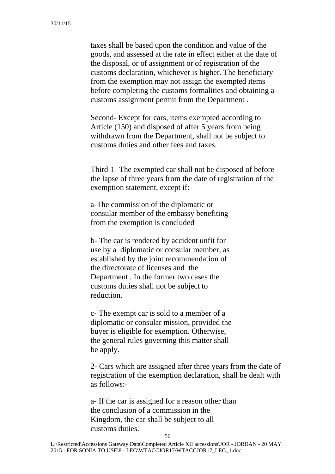taxes shall be based upon the condition and value of the goods, and assessed at the rate in effect either at the date of the disposal, or of assignment or of registration of the customs declaration, whichever is higher. The beneficiary from the exemption may not assign the exempted items before completing the customs formalities and obtaining a customs assignment permit from the Department .

Second- Except for cars, items exempted according to Article (150) and disposed of after 5 years from being withdrawn from the Department, shall not be subject to customs duties and other fees and taxes.

Third-1- The exempted car shall not be disposed of before the lapse of three years from the date of registration of the exemption statement, except if:-

a-The commission of the diplomatic or consular member of the embassy benefiting from the exemption is concluded

b- The car is rendered by accident unfit for use by a diplomatic or consular member, as established by the joint recommendation of the directorate of licenses and the Department . In the former two cases the customs duties shall not be subject to reduction.

c- The exempt car is sold to a member of a diplomatic or consular mission, provided the buyer is eligible for exemption. Otherwise, the general rules governing this matter shall be apply.

2- Cars which are assigned after three years from the date of registration of the exemption declaration, shall be dealt with as follows:-

a- If the car is assigned for a reason other than the conclusion of a commission in the Kingdom, the car shall be subject to all customs duties.

56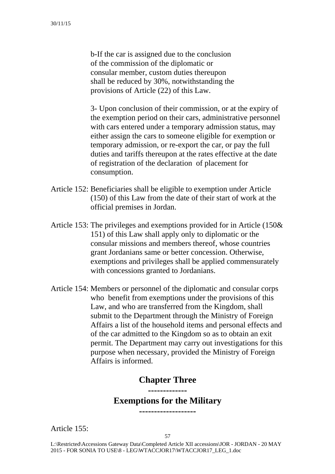b-If the car is assigned due to the conclusion of the commission of the diplomatic or consular member, custom duties thereupon shall be reduced by 30%, notwithstanding the provisions of Article (22) of this Law.

3- Upon conclusion of their commission, or at the expiry of the exemption period on their cars, administrative personnel with cars entered under a temporary admission status, may either assign the cars to someone eligible for exemption or temporary admission, or re-export the car, or pay the full duties and tariffs thereupon at the rates effective at the date of registration of the declaration of placement for consumption.

- Article 152: Beneficiaries shall be eligible to exemption under Article (150) of this Law from the date of their start of work at the official premises in Jordan.
- Article 153: The privileges and exemptions provided for in Article (150& 151) of this Law shall apply only to diplomatic or the consular missions and members thereof, whose countries grant Jordanians same or better concession. Otherwise, exemptions and privileges shall be applied commensurately with concessions granted to Jordanians.
- Article 154: Members or personnel of the diplomatic and consular corps who benefit from exemptions under the provisions of this Law, and who are transferred from the Kingdom, shall submit to the Department through the Ministry of Foreign Affairs a list of the household items and personal effects and of the car admitted to the Kingdom so as to obtain an exit permit. The Department may carry out investigations for this purpose when necessary, provided the Ministry of Foreign Affairs is informed.

### **Chapter Three**

### **------------- Exemptions for the Military -------------------**

Article 155: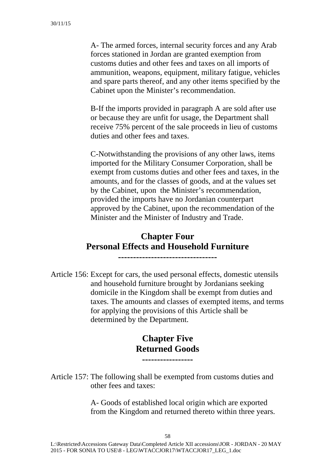A- The armed forces, internal security forces and any Arab forces stationed in Jordan are granted exemption from customs duties and other fees and taxes on all imports of ammunition, weapons, equipment, military fatigue, vehicles and spare parts thereof, and any other items specified by the Cabinet upon the Minister's recommendation.

B-If the imports provided in paragraph A are sold after use or because they are unfit for usage, the Department shall receive 75% percent of the sale proceeds in lieu of customs duties and other fees and taxes.

C-Notwithstanding the provisions of any other laws, items imported for the Military Consumer Corporation, shall be exempt from customs duties and other fees and taxes, in the amounts, and for the classes of goods, and at the values set by the Cabinet, upon the Minister's recommendation, provided the imports have no Jordanian counterpart approved by the Cabinet, upon the recommendation of the Minister and the Minister of Industry and Trade.

# **Chapter Four Personal Effects and Household Furniture**

**---------------------------------** 

Article 156: Except for cars, the used personal effects, domestic utensils and household furniture brought by Jordanians seeking domicile in the Kingdom shall be exempt from duties and taxes. The amounts and classes of exempted items, and terms for applying the provisions of this Article shall be determined by the Department.

### **Chapter Five Returned Goods -----------------**

Article 157: The following shall be exempted from customs duties and other fees and taxes:

> A- Goods of established local origin which are exported from the Kingdom and returned thereto within three years.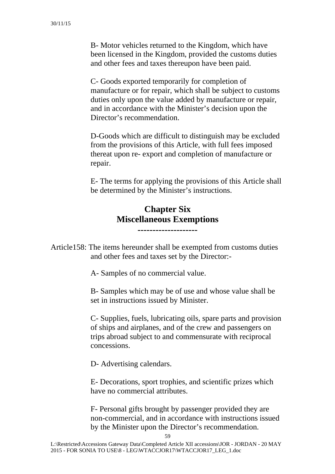B- Motor vehicles returned to the Kingdom, which have been licensed in the Kingdom, provided the customs duties and other fees and taxes thereupon have been paid.

C- Goods exported temporarily for completion of manufacture or for repair, which shall be subject to customs duties only upon the value added by manufacture or repair, and in accordance with the Minister's decision upon the Director's recommendation.

D-Goods which are difficult to distinguish may be excluded from the provisions of this Article, with full fees imposed thereat upon re- export and completion of manufacture or repair.

E- The terms for applying the provisions of this Article shall be determined by the Minister's instructions.

# **Chapter Six Miscellaneous Exemptions**

**--------------------** 

Article158: The items hereunder shall be exempted from customs duties and other fees and taxes set by the Director:-

A- Samples of no commercial value.

B- Samples which may be of use and whose value shall be set in instructions issued by Minister.

C- Supplies, fuels, lubricating oils, spare parts and provision of ships and airplanes, and of the crew and passengers on trips abroad subject to and commensurate with reciprocal concessions.

D- Advertising calendars.

E- Decorations, sport trophies, and scientific prizes which have no commercial attributes.

F- Personal gifts brought by passenger provided they are non-commercial, and in accordance with instructions issued by the Minister upon the Director's recommendation.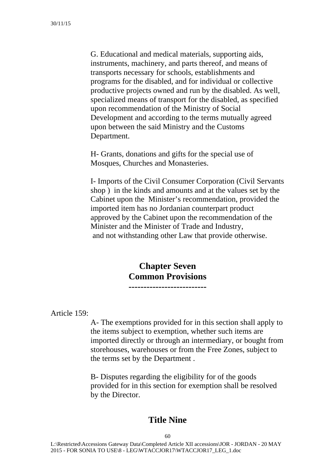G. Educational and medical materials, supporting aids, instruments, machinery, and parts thereof, and means of transports necessary for schools, establishments and programs for the disabled, and for individual or collective productive projects owned and run by the disabled. As well, specialized means of transport for the disabled, as specified upon recommendation of the Ministry of Social Development and according to the terms mutually agreed upon between the said Ministry and the Customs Department.

H- Grants, donations and gifts for the special use of Mosques, Churches and Monasteries.

I- Imports of the Civil Consumer Corporation (Civil Servants shop ) in the kinds and amounts and at the values set by the Cabinet upon the Minister's recommendation, provided the imported item has no Jordanian counterpart product approved by the Cabinet upon the recommendation of the Minister and the Minister of Trade and Industry, and not withstanding other Law that provide otherwise.

### **Chapter Seven Common Provisions --------------------------**

Article 159:

A- The exemptions provided for in this section shall apply to the items subject to exemption, whether such items are imported directly or through an intermediary, or bought from storehouses, warehouses or from the Free Zones, subject to the terms set by the Department .

B- Disputes regarding the eligibility for of the goods provided for in this section for exemption shall be resolved by the Director.

### **Title Nine**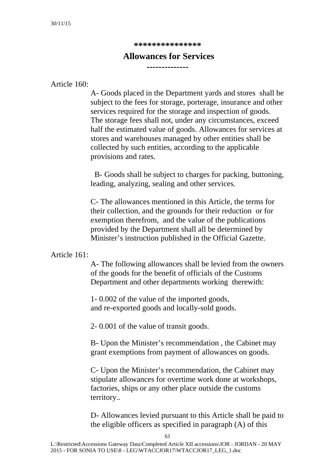**\*\*\*\*\*\*\*\*\*\*\*\*\*\*\*** 

### **Allowances for Services**

**--------------** 

Article 160:

A- Goods placed in the Department yards and stores shall be subject to the fees for storage, porterage, insurance and other services required for the storage and inspection of goods. The storage fees shall not, under any circumstances, exceed half the estimated value of goods. Allowances for services at stores and warehouses managed by other entities shall be collected by such entities, according to the applicable provisions and rates.

 B- Goods shall be subject to charges for packing, buttoning, leading, analyzing, sealing and other services.

C- The allowances mentioned in this Article, the terms for their collection, and the grounds for their reduction or for exemption therefrom, and the value of the publications provided by the Department shall all be determined by Minister's instruction published in the Official Gazette.

### Article 161:

A- The following allowances shall be levied from the owners of the goods for the benefit of officials of the Customs Department and other departments working therewith:

1- 0.002 of the value of the imported goods, and re-exported goods and locally-sold goods.

2- 0.001 of the value of transit goods.

B- Upon the Minister's recommendation , the Cabinet may grant exemptions from payment of allowances on goods.

C- Upon the Minister's recommendation, the Cabinet may stipulate allowances for overtime work done at workshops, factories, ships or any other place outside the customs territory..

D- Allowances levied pursuant to this Article shall be paid to the eligible officers as specified in paragraph (A) of this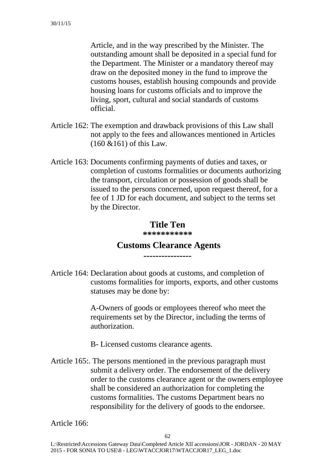Article, and in the way prescribed by the Minister. The outstanding amount shall be deposited in a special fund for the Department. The Minister or a mandatory thereof may draw on the deposited money in the fund to improve the customs houses, establish housing compounds and provide housing loans for customs officials and to improve the living, sport, cultural and social standards of customs official.

- Article 162: The exemption and drawback provisions of this Law shall not apply to the fees and allowances mentioned in Articles (160 &161) of this Law.
- Article 163: Documents confirming payments of duties and taxes, or completion of customs formalities or documents authorizing the transport, circulation or possession of goods shall be issued to the persons concerned, upon request thereof, for a fee of 1 JD for each document, and subject to the terms set by the Director.

### **Title Ten**

**\*\*\*\*\*\*\*\*\*\*\*** 

#### **Customs Clearance Agents ----------------**

Article 164: Declaration about goods at customs, and completion of customs formalities for imports, exports, and other customs statuses may be done by:

> A-Owners of goods or employees thereof who meet the requirements set by the Director, including the terms of authorization.

B- Licensed customs clearance agents.

Article 165:. The persons mentioned in the previous paragraph must submit a delivery order. The endorsement of the delivery order to the customs clearance agent or the owners employee shall be considered an authorization for completing the customs formalities. The customs Department bears no responsibility for the delivery of goods to the endorsee.

Article 166: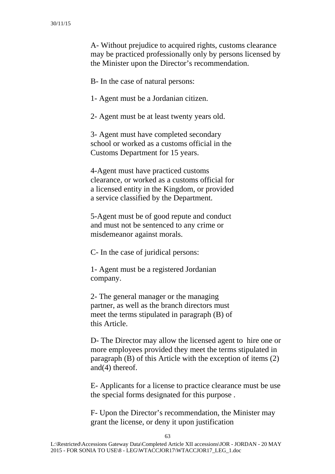A- Without prejudice to acquired rights, customs clearance may be practiced professionally only by persons licensed by the Minister upon the Director's recommendation.

B- In the case of natural persons:

1- Agent must be a Jordanian citizen.

2- Agent must be at least twenty years old.

3- Agent must have completed secondary school or worked as a customs official in the Customs Department for 15 years.

4-Agent must have practiced customs clearance, or worked as a customs official for a licensed entity in the Kingdom, or provided a service classified by the Department.

5-Agent must be of good repute and conduct and must not be sentenced to any crime or misdemeanor against morals.

C- In the case of juridical persons:

1- Agent must be a registered Jordanian company.

2- The general manager or the managing partner, as well as the branch directors must meet the terms stipulated in paragraph (B) of this Article.

D- The Director may allow the licensed agent to hire one or more employees provided they meet the terms stipulated in paragraph (B) of this Article with the exception of items (2) and(4) thereof.

E- Applicants for a license to practice clearance must be use the special forms designated for this purpose .

F- Upon the Director's recommendation, the Minister may grant the license, or deny it upon justification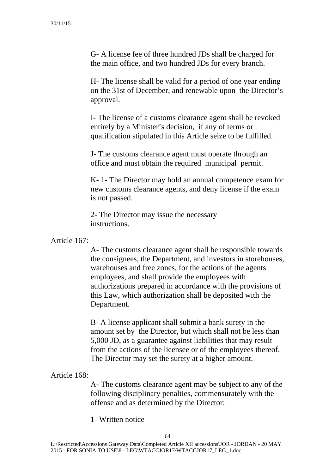G- A license fee of three hundred JDs shall be charged for the main office, and two hundred JDs for every branch.

H- The license shall be valid for a period of one year ending on the 31st of December, and renewable upon the Director's approval.

I- The license of a customs clearance agent shall be revoked entirely by a Minister's decision, if any of terms or qualification stipulated in this Article seize to be fulfilled.

J- The customs clearance agent must operate through an office and must obtain the required municipal permit.

K- 1- The Director may hold an annual competence exam for new customs clearance agents, and deny license if the exam is not passed.

2- The Director may issue the necessary instructions.

### Article 167:

A- The customs clearance agent shall be responsible towards the consignees, the Department, and investors in storehouses, warehouses and free zones, for the actions of the agents employees, and shall provide the employees with authorizations prepared in accordance with the provisions of this Law, which authorization shall be deposited with the Department.

B- A license applicant shall submit a bank surety in the amount set by the Director, but which shall not be less than 5,000 JD, as a guarantee against liabilities that may result from the actions of the licensee or of the employees thereof. The Director may set the surety at a higher amount.

### Article 168:

A- The customs clearance agent may be subject to any of the following disciplinary penalties, commensurately with the offense and as determined by the Director:

1- Written notice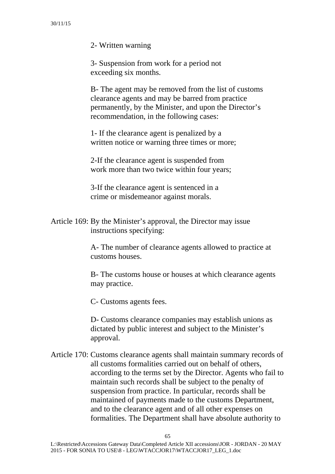2- Written warning

3- Suspension from work for a period not exceeding six months.

B- The agent may be removed from the list of customs clearance agents and may be barred from practice permanently, by the Minister, and upon the Director's recommendation, in the following cases:

1- If the clearance agent is penalized by a written notice or warning three times or more;

2-If the clearance agent is suspended from work more than two twice within four years;

3-If the clearance agent is sentenced in a crime or misdemeanor against morals.

Article 169: By the Minister's approval, the Director may issue instructions specifying:

> A- The number of clearance agents allowed to practice at customs houses.

B- The customs house or houses at which clearance agents may practice.

C- Customs agents fees.

D- Customs clearance companies may establish unions as dictated by public interest and subject to the Minister's approval.

Article 170: Customs clearance agents shall maintain summary records of all customs formalities carried out on behalf of others, according to the terms set by the Director. Agents who fail to maintain such records shall be subject to the penalty of suspension from practice. In particular, records shall be maintained of payments made to the customs Department, and to the clearance agent and of all other expenses on formalities. The Department shall have absolute authority to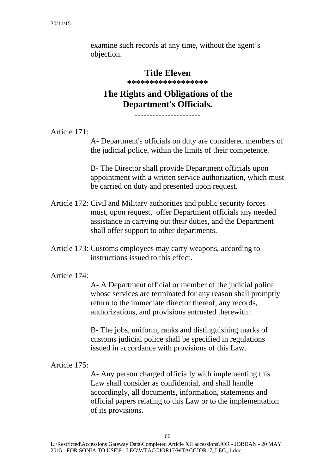examine such records at any time, without the agent's objection.

# **Title Eleven \*\*\*\*\*\*\*\*\*\*\*\*\*\*\*\*\*\***

# **The Rights and Obligations of the Department's Officials.**

**----------------------** 

Article 171:

A- Department's officials on duty are considered members of the judicial police, within the limits of their competence.

B- The Director shall provide Department officials upon appointment with a written service authorization, which must be carried on duty and presented upon request.

- Article 172: Civil and Military authorities and public security forces must, upon request, offer Department officials any needed assistance in carrying out their duties, and the Department shall offer support to other departments.
- Article 173: Customs employees may carry weapons, according to instructions issued to this effect.

### Article 174:

A- A Department official or member of the judicial police whose services are terminated for any reason shall promptly return to the immediate director thereof, any records, authorizations, and provisions entrusted therewith..

B- The jobs, uniform, ranks and distinguishing marks of customs judicial police shall be specified in regulations issued in accordance with provisions of this Law.

Article 175:

A- Any person charged officially with implementing this Law shall consider as confidential, and shall handle accordingly, all documents, information, statements and official papers relating to this Law or to the implementation of its provisions.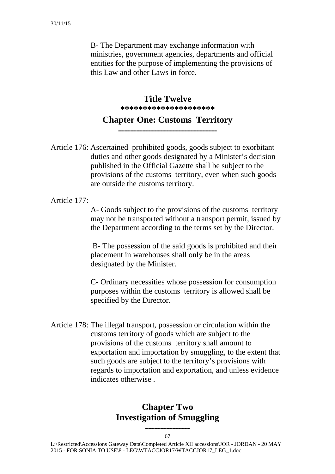B- The Department may exchange information with ministries, government agencies, departments and official entities for the purpose of implementing the provisions of this Law and other Laws in force.

> **Title Twelve \*\*\*\*\*\*\*\*\*\*\*\*\*\*\*\*\*\*\*\*\***

### **Chapter One: Customs Territory**

**---------------------------------** 

Article 176: Ascertained prohibited goods, goods subject to exorbitant duties and other goods designated by a Minister's decision published in the Official Gazette shall be subject to the provisions of the customs territory, even when such goods are outside the customs territory.

Article 177:

A- Goods subject to the provisions of the customs territory may not be transported without a transport permit, issued by the Department according to the terms set by the Director.

 B- The possession of the said goods is prohibited and their placement in warehouses shall only be in the areas designated by the Minister.

C- Ordinary necessities whose possession for consumption purposes within the customs territory is allowed shall be specified by the Director.

Article 178: The illegal transport, possession or circulation within the customs territory of goods which are subject to the provisions of the customs territory shall amount to exportation and importation by smuggling, to the extent that such goods are subject to the territory's provisions with regards to importation and exportation, and unless evidence indicates otherwise .

# **Chapter Two Investigation of Smuggling**

67 **---------------**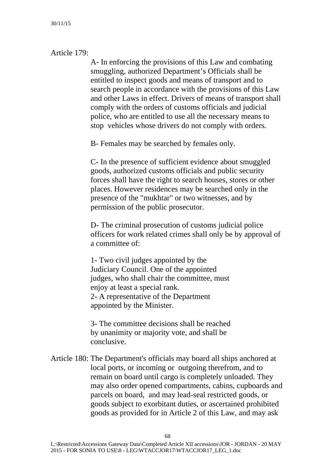### Article 179:

A- In enforcing the provisions of this Law and combating smuggling, authorized Department's Officials shall be entitled to inspect goods and means of transport and to search people in accordance with the provisions of this Law and other Laws in effect. Drivers of means of transport shall comply with the orders of customs officials and judicial police, who are entitled to use all the necessary means to stop vehicles whose drivers do not comply with orders.

B- Females may be searched by females only.

C- In the presence of sufficient evidence about smuggled goods, authorized customs officials and public security forces shall have the right to search houses, stores or other places. However residences may be searched only in the presence of the "mukhtar" or two witnesses, and by permission of the public prosecutor.

D- The criminal prosecution of customs judicial police officers for work related crimes shall only be by approval of a committee of:

1- Two civil judges appointed by the Judiciary Council. One of the appointed judges, who shall chair the committee, must enjoy at least a special rank. 2- A representative of the Department appointed by the Minister.

3- The committee decisions shall be reached by unanimity or majority vote, and shall be conclusive.

Article 180: The Department's officials may board all ships anchored at local ports, or incoming or outgoing therefrom, and to remain on board until cargo is completely unloaded. They may also order opened compartments, cabins, cupboards and parcels on board, and may lead-seal restricted goods, or goods subject to exorbitant duties, or ascertained prohibited goods as provided for in Article 2 of this Law, and may ask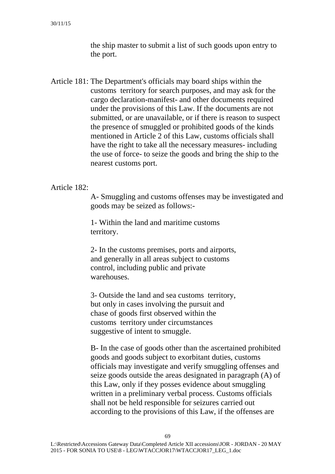the ship master to submit a list of such goods upon entry to the port.

Article 181: The Department's officials may board ships within the customs territory for search purposes, and may ask for the cargo declaration-manifest- and other documents required under the provisions of this Law. If the documents are not submitted, or are unavailable, or if there is reason to suspect the presence of smuggled or prohibited goods of the kinds mentioned in Article 2 of this Law, customs officials shall have the right to take all the necessary measures- including the use of force- to seize the goods and bring the ship to the nearest customs port.

### Article 182:

A- Smuggling and customs offenses may be investigated and goods may be seized as follows:-

1- Within the land and maritime customs territory.

2- In the customs premises, ports and airports, and generally in all areas subject to customs control, including public and private warehouses.

3- Outside the land and sea customs territory, but only in cases involving the pursuit and chase of goods first observed within the customs territory under circumstances suggestive of intent to smuggle.

B- In the case of goods other than the ascertained prohibited goods and goods subject to exorbitant duties, customs officials may investigate and verify smuggling offenses and seize goods outside the areas designated in paragraph (A) of this Law, only if they posses evidence about smuggling written in a preliminary verbal process. Customs officials shall not be held responsible for seizures carried out according to the provisions of this Law, if the offenses are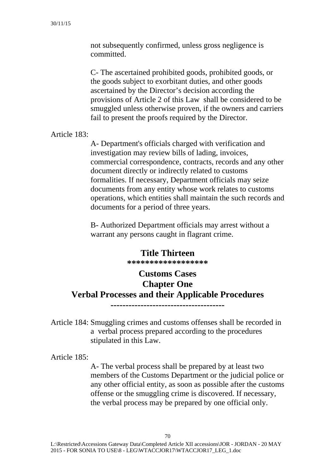not subsequently confirmed, unless gross negligence is committed.

C- The ascertained prohibited goods, prohibited goods, or the goods subject to exorbitant duties, and other goods ascertained by the Director's decision according the provisions of Article 2 of this Law shall be considered to be smuggled unless otherwise proven, if the owners and carriers fail to present the proofs required by the Director.

Article 183:

A- Department's officials charged with verification and investigation may review bills of lading, invoices, commercial correspondence, contracts, records and any other document directly or indirectly related to customs formalities. If necessary, Department officials may seize documents from any entity whose work relates to customs operations, which entities shall maintain the such records and documents for a period of three years.

B- Authorized Department officials may arrest without a warrant any persons caught in flagrant crime.

# **Title Thirteen \*\*\*\*\*\*\*\*\*\*\*\*\*\*\*\*\*\***

# **Customs Cases Chapter One Verbal Processes and their Applicable Procedures --------------------------------------**

Article 184: Smuggling crimes and customs offenses shall be recorded in a verbal process prepared according to the procedures stipulated in this Law.

Article 185:

A- The verbal process shall be prepared by at least two members of the Customs Department or the judicial police or any other official entity, as soon as possible after the customs offense or the smuggling crime is discovered. If necessary, the verbal process may be prepared by one official only.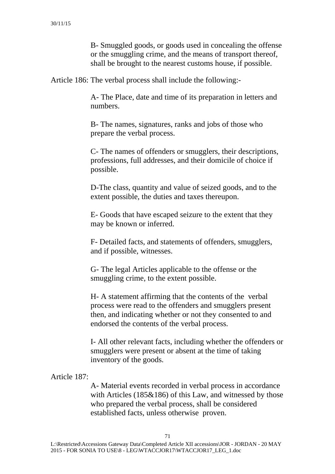B- Smuggled goods, or goods used in concealing the offense or the smuggling crime, and the means of transport thereof, shall be brought to the nearest customs house, if possible.

Article 186: The verbal process shall include the following:-

A- The Place, date and time of its preparation in letters and numbers.

B- The names, signatures, ranks and jobs of those who prepare the verbal process.

C- The names of offenders or smugglers, their descriptions, professions, full addresses, and their domicile of choice if possible.

D-The class, quantity and value of seized goods, and to the extent possible, the duties and taxes thereupon.

E- Goods that have escaped seizure to the extent that they may be known or inferred.

F- Detailed facts, and statements of offenders, smugglers, and if possible, witnesses.

G- The legal Articles applicable to the offense or the smuggling crime, to the extent possible.

H- A statement affirming that the contents of the verbal process were read to the offenders and smugglers present then, and indicating whether or not they consented to and endorsed the contents of the verbal process.

I- All other relevant facts, including whether the offenders or smugglers were present or absent at the time of taking inventory of the goods.

### Article 187:

A- Material events recorded in verbal process in accordance with Articles (185&186) of this Law, and witnessed by those who prepared the verbal process, shall be considered established facts, unless otherwise proven.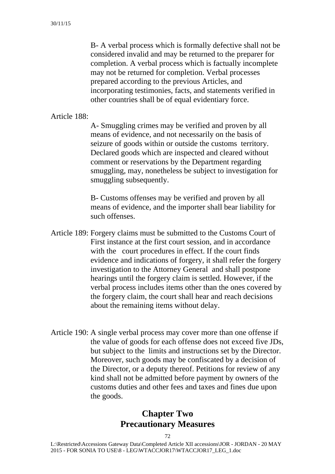B- A verbal process which is formally defective shall not be considered invalid and may be returned to the preparer for completion. A verbal process which is factually incomplete may not be returned for completion. Verbal processes prepared according to the previous Articles, and incorporating testimonies, facts, and statements verified in other countries shall be of equal evidentiary force.

Article 188:

A- Smuggling crimes may be verified and proven by all means of evidence, and not necessarily on the basis of seizure of goods within or outside the customs territory. Declared goods which are inspected and cleared without comment or reservations by the Department regarding smuggling, may, nonetheless be subject to investigation for smuggling subsequently.

B- Customs offenses may be verified and proven by all means of evidence, and the importer shall bear liability for such offenses.

- Article 189: Forgery claims must be submitted to the Customs Court of First instance at the first court session, and in accordance with the court procedures in effect. If the court finds evidence and indications of forgery, it shall refer the forgery investigation to the Attorney General and shall postpone hearings until the forgery claim is settled. However, if the verbal process includes items other than the ones covered by the forgery claim, the court shall hear and reach decisions about the remaining items without delay.
- Article 190: A single verbal process may cover more than one offense if the value of goods for each offense does not exceed five JDs, but subject to the limits and instructions set by the Director. Moreover, such goods may be confiscated by a decision of the Director, or a deputy thereof. Petitions for review of any kind shall not be admitted before payment by owners of the customs duties and other fees and taxes and fines due upon the goods.

### **Chapter Two Precautionary Measures**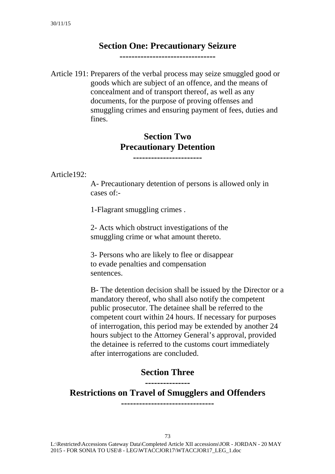### **Section One: Precautionary Seizure**

**--------------------------------** 

Article 191: Preparers of the verbal process may seize smuggled good or goods which are subject of an offence, and the means of concealment and of transport thereof, as well as any documents, for the purpose of proving offenses and smuggling crimes and ensuring payment of fees, duties and fines.

### **Section Two Precautionary Detention**

**-----------------------** 

Article192:

A- Precautionary detention of persons is allowed only in cases of:-

1-Flagrant smuggling crimes .

2- Acts which obstruct investigations of the smuggling crime or what amount thereto.

3- Persons who are likely to flee or disappear to evade penalties and compensation sentences.

B- The detention decision shall be issued by the Director or a mandatory thereof, who shall also notify the competent public prosecutor. The detainee shall be referred to the competent court within 24 hours. If necessary for purposes of interrogation, this period may be extended by another 24 hours subject to the Attorney General's approval, provided the detainee is referred to the customs court immediately after interrogations are concluded.

#### **Section Three ---------------**

**Restrictions on Travel of Smugglers and Offenders -------------------------------** 

 L:\Restricted\Accessions Gateway Data\Completed Article XII accessions\JOR - JORDAN - 20 MAY 2015 - FOR SONIA TO USE\8 - LEG\WTACCJOR17\WTACCJOR17\_LEG\_1.doc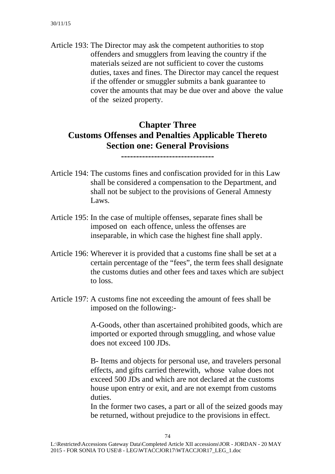Article 193: The Director may ask the competent authorities to stop offenders and smugglers from leaving the country if the materials seized are not sufficient to cover the customs duties, taxes and fines. The Director may cancel the request if the offender or smuggler submits a bank guarantee to cover the amounts that may be due over and above the value of the seized property.

### **Chapter Three Customs Offenses and Penalties Applicable Thereto Section one: General Provisions**

**-------------------------------** 

- Article 194: The customs fines and confiscation provided for in this Law shall be considered a compensation to the Department, and shall not be subject to the provisions of General Amnesty Laws.
- Article 195: In the case of multiple offenses, separate fines shall be imposed on each offence, unless the offenses are inseparable, in which case the highest fine shall apply.
- Article 196: Wherever it is provided that a customs fine shall be set at a certain percentage of the "fees", the term fees shall designate the customs duties and other fees and taxes which are subject to loss.
- Article 197: A customs fine not exceeding the amount of fees shall be imposed on the following:-

A-Goods, other than ascertained prohibited goods, which are imported or exported through smuggling, and whose value does not exceed 100 JDs.

B- Items and objects for personal use, and travelers personal effects, and gifts carried therewith, whose value does not exceed 500 JDs and which are not declared at the customs house upon entry or exit, and are not exempt from customs duties.

In the former two cases, a part or all of the seized goods may be returned, without prejudice to the provisions in effect.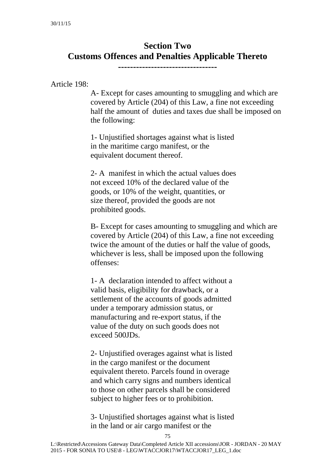## **Section Two Customs Offences and Penalties Applicable Thereto**

**---------------------------------** 

Article 198:

A- Except for cases amounting to smuggling and which are covered by Article (204) of this Law, a fine not exceeding half the amount of duties and taxes due shall be imposed on the following:

1- Unjustified shortages against what is listed in the maritime cargo manifest, or the equivalent document thereof.

2- A manifest in which the actual values does not exceed 10% of the declared value of the goods, or 10% of the weight, quantities, or size thereof, provided the goods are not prohibited goods.

B- Except for cases amounting to smuggling and which are covered by Article (204) of this Law, a fine not exceeding twice the amount of the duties or half the value of goods, whichever is less, shall be imposed upon the following offenses:

1- A declaration intended to affect without a valid basis, eligibility for drawback, or a settlement of the accounts of goods admitted under a temporary admission status, or manufacturing and re-export status, if the value of the duty on such goods does not exceed 500JDs.

2- Unjustified overages against what is listed in the cargo manifest or the document equivalent thereto. Parcels found in overage and which carry signs and numbers identical to those on other parcels shall be considered subject to higher fees or to prohibition.

3- Unjustified shortages against what is listed in the land or air cargo manifest or the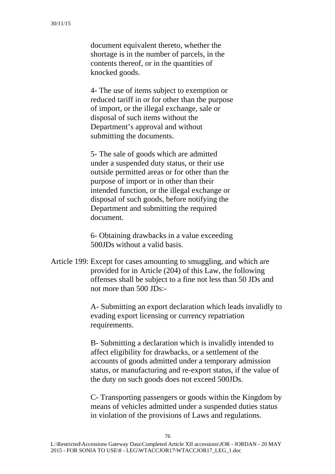document equivalent thereto, whether the shortage is in the number of parcels, in the contents thereof, or in the quantities of knocked goods.

4- The use of items subject to exemption or reduced tariff in or for other than the purpose of import, or the illegal exchange, sale or disposal of such items without the Department's approval and without submitting the documents.

5- The sale of goods which are admitted under a suspended duty status, or their use outside permitted areas or for other than the purpose of import or in other than their intended function, or the illegal exchange or disposal of such goods, before notifying the Department and submitting the required document.

6- Obtaining drawbacks in a value exceeding 500JDs without a valid basis.

Article 199: Except for cases amounting to smuggling, and which are provided for in Article (204) of this Law, the following offenses shall be subject to a fine not less than 50 JDs and not more than 500 JDs:-

> A- Submitting an export declaration which leads invalidly to evading export licensing or currency repatriation requirements.

B- Submitting a declaration which is invalidly intended to affect eligibility for drawbacks, or a settlement of the accounts of goods admitted under a temporary admission status, or manufacturing and re-export status, if the value of the duty on such goods does not exceed 500JDs.

C- Transporting passengers or goods within the Kingdom by means of vehicles admitted under a suspended duties status in violation of the provisions of Laws and regulations.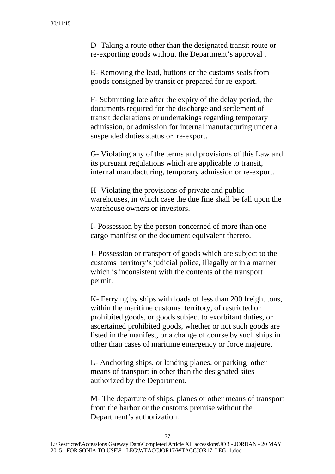D- Taking a route other than the designated transit route or re-exporting goods without the Department's approval .

E- Removing the lead, buttons or the customs seals from goods consigned by transit or prepared for re-export.

F- Submitting late after the expiry of the delay period, the documents required for the discharge and settlement of transit declarations or undertakings regarding temporary admission, or admission for internal manufacturing under a suspended duties status or re-export.

G- Violating any of the terms and provisions of this Law and its pursuant regulations which are applicable to transit, internal manufacturing, temporary admission or re-export.

H- Violating the provisions of private and public warehouses, in which case the due fine shall be fall upon the warehouse owners or investors.

I- Possession by the person concerned of more than one cargo manifest or the document equivalent thereto.

J- Possession or transport of goods which are subject to the customs territory's judicial police, illegally or in a manner which is inconsistent with the contents of the transport permit.

K- Ferrying by ships with loads of less than 200 freight tons, within the maritime customs territory, of restricted or prohibited goods, or goods subject to exorbitant duties, or ascertained prohibited goods, whether or not such goods are listed in the manifest, or a change of course by such ships in other than cases of maritime emergency or force majeure.

L- Anchoring ships, or landing planes, or parking other means of transport in other than the designated sites authorized by the Department.

M- The departure of ships, planes or other means of transport from the harbor or the customs premise without the Department's authorization.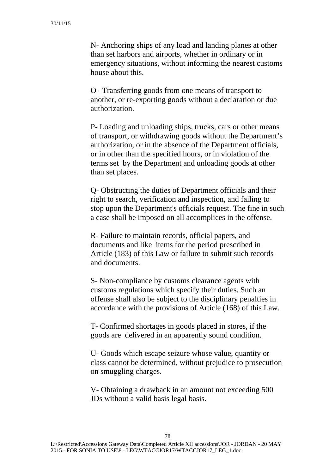N- Anchoring ships of any load and landing planes at other than set harbors and airports, whether in ordinary or in emergency situations, without informing the nearest customs house about this.

O –Transferring goods from one means of transport to another, or re-exporting goods without a declaration or due authorization.

P- Loading and unloading ships, trucks, cars or other means of transport, or withdrawing goods without the Department's authorization, or in the absence of the Department officials, or in other than the specified hours, or in violation of the terms set by the Department and unloading goods at other than set places.

Q- Obstructing the duties of Department officials and their right to search, verification and inspection, and failing to stop upon the Department's officials request. The fine in such a case shall be imposed on all accomplices in the offense.

R- Failure to maintain records, official papers, and documents and like items for the period prescribed in Article (183) of this Law or failure to submit such records and documents.

S- Non-compliance by customs clearance agents with customs regulations which specify their duties. Such an offense shall also be subject to the disciplinary penalties in accordance with the provisions of Article (168) of this Law.

T- Confirmed shortages in goods placed in stores, if the goods are delivered in an apparently sound condition.

U- Goods which escape seizure whose value, quantity or class cannot be determined, without prejudice to prosecution on smuggling charges.

V- Obtaining a drawback in an amount not exceeding 500 JDs without a valid basis legal basis.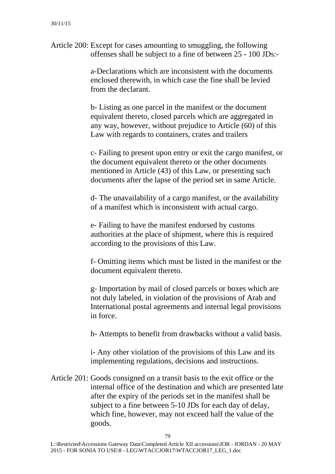Article 200: Except for cases amounting to smuggling, the following offenses shall be subject to a fine of between 25 - 100 JDs:-

> a-Declarations which are inconsistent with the documents enclosed therewith, in which case the fine shall be levied from the declarant.

b- Listing as one parcel in the manifest or the document equivalent thereto, closed parcels which are aggregated in any way, however, without prejudice to Article (60) of this Law with regards to containers, crates and trailers

c- Failing to present upon entry or exit the cargo manifest, or the document equivalent thereto or the other documents mentioned in Article (43) of this Law, or presenting such documents after the lapse of the period set in same Article.

d- The unavailability of a cargo manifest, or the availability of a manifest which is inconsistent with actual cargo.

e- Failing to have the manifest endorsed by customs authorities at the place of shipment, where this is required according to the provisions of this Law.

f- Omitting items which must be listed in the manifest or the document equivalent thereto.

g- Importation by mail of closed parcels or boxes which are not duly labeled, in violation of the provisions of Arab and International postal agreements and internal legal provisions in force.

h- Attempts to benefit from drawbacks without a valid basis.

i- Any other violation of the provisions of this Law and its implementing regulations, decisions and instructions.

Article 201: Goods consigned on a transit basis to the exit office or the internal office of the destination and which are presented late after the expiry of the periods set in the manifest shall be subject to a fine between 5-10 JDs for each day of delay, which fine, however, may not exceed half the value of the goods.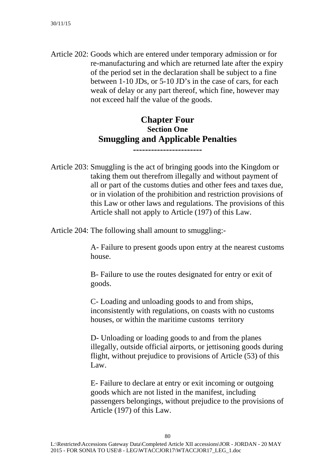Article 202: Goods which are entered under temporary admission or for re-manufacturing and which are returned late after the expiry of the period set in the declaration shall be subject to a fine between 1-10 JDs, or 5-10 JD's in the case of cars, for each weak of delay or any part thereof, which fine, however may not exceed half the value of the goods.

### **Chapter Four Section One Smuggling and Applicable Penalties**

**-----------------------** 

Article 203: Smuggling is the act of bringing goods into the Kingdom or taking them out therefrom illegally and without payment of all or part of the customs duties and other fees and taxes due, or in violation of the prohibition and restriction provisions of this Law or other laws and regulations. The provisions of this Article shall not apply to Article (197) of this Law.

Article 204: The following shall amount to smuggling:-

A- Failure to present goods upon entry at the nearest customs house.

B- Failure to use the routes designated for entry or exit of goods.

C- Loading and unloading goods to and from ships, inconsistently with regulations, on coasts with no customs houses, or within the maritime customs territory

D- Unloading or loading goods to and from the planes illegally, outside official airports, or jettisoning goods during flight, without prejudice to provisions of Article (53) of this Law.

E- Failure to declare at entry or exit incoming or outgoing goods which are not listed in the manifest, including passengers belongings, without prejudice to the provisions of Article (197) of this Law.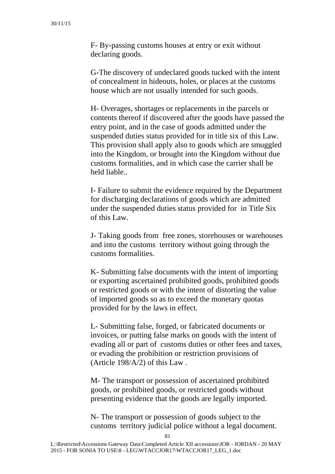F- By-passing customs houses at entry or exit without declaring goods.

G-The discovery of undeclared goods tucked with the intent of concealment in hideouts, holes, or places at the customs house which are not usually intended for such goods.

H- Overages, shortages or replacements in the parcels or contents thereof if discovered after the goods have passed the entry point, and in the case of goods admitted under the suspended duties status provided for in title six of this Law. This provision shall apply also to goods which are smuggled into the Kingdom, or brought into the Kingdom without due customs formalities, and in which case the carrier shall be held liable..

I- Failure to submit the evidence required by the Department for discharging declarations of goods which are admitted under the suspended duties status provided for in Title Six of this Law.

J- Taking goods from free zones, storehouses or warehouses and into the customs territory without going through the customs formalities.

K- Submitting false documents with the intent of importing or exporting ascertained prohibited goods, prohibited goods or restricted goods or with the intent of distorting the value of imported goods so as to exceed the monetary quotas provided for by the laws in effect.

L- Submitting false, forged, or fabricated documents or invoices, or putting false marks on goods with the intent of evading all or part of customs duties or other fees and taxes, or evading the prohibition or restriction provisions of (Article 198/A/2) of this Law .

M- The transport or possession of ascertained prohibited goods, or prohibited goods, or restricted goods without presenting evidence that the goods are legally imported.

N- The transport or possession of goods subject to the customs territory judicial police without a legal document.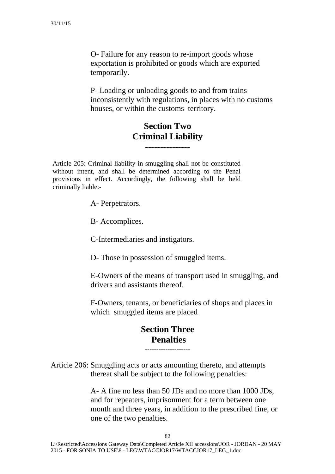O- Failure for any reason to re-import goods whose exportation is prohibited or goods which are exported temporarily.

P- Loading or unloading goods to and from trains inconsistently with regulations, in places with no customs houses, or within the customs territory.

### **Section Two Criminal Liability ---------------**

Article 205: Criminal liability in smuggling shall not be constituted without intent, and shall be determined according to the Penal provisions in effect. Accordingly, the following shall be held criminally liable:-

A- Perpetrators.

B- Accomplices.

C-Intermediaries and instigators.

D- Those in possession of smuggled items.

E-Owners of the means of transport used in smuggling, and drivers and assistants thereof.

F-Owners, tenants, or beneficiaries of shops and places in which smuggled items are placed

#### **Section Three Penalties --------------------**

Article 206: Smuggling acts or acts amounting thereto, and attempts thereat shall be subject to the following penalties:

> A- A fine no less than 50 JDs and no more than 1000 JDs, and for repeaters, imprisonment for a term between one month and three years, in addition to the prescribed fine, or one of the two penalties.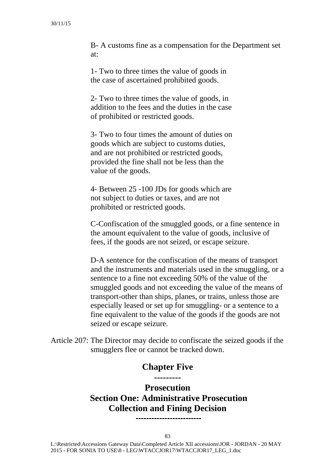B- A customs fine as a compensation for the Department set at:

1- Two to three times the value of goods in the case of ascertained prohibited goods.

2- Two to three times the value of goods, in addition to the fees and the duties in the case of prohibited or restricted goods.

3- Two to four times the amount of duties on goods which are subject to customs duties, and are not prohibited or restricted goods, provided the fine shall not be less than the value of the goods.

4- Between 25 -100 JDs for goods which are not subject to duties or taxes, and are not prohibited or restricted goods.

C-Confiscation of the smuggled goods, or a fine sentence in the amount equivalent to the value of goods, inclusive of fees, if the goods are not seized, or escape seizure.

D-A sentence for the confiscation of the means of transport and the instruments and materials used in the smuggling, or a sentence to a fine not exceeding 50% of the value of the smuggled goods and not exceeding the value of the means of transport-other than ships, planes, or trains, unless those are especially leased or set up for smuggling- or a sentence to a fine equivalent to the value of the goods if the goods are not seized or escape seizure.

Article 207: The Director may decide to confiscate the seized goods if the smugglers flee or cannot be tracked down.

#### **Chapter Five ---------**

**Prosecution Section One: Administrative Prosecution Collection and Fining Decision -------------------------**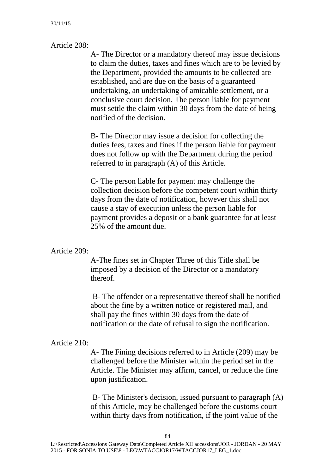Article 208:

A- The Director or a mandatory thereof may issue decisions to claim the duties, taxes and fines which are to be levied by the Department, provided the amounts to be collected are established, and are due on the basis of a guaranteed undertaking, an undertaking of amicable settlement, or a conclusive court decision. The person liable for payment must settle the claim within 30 days from the date of being notified of the decision.

B- The Director may issue a decision for collecting the duties fees, taxes and fines if the person liable for payment does not follow up with the Department during the period referred to in paragraph (A) of this Article.

C- The person liable for payment may challenge the collection decision before the competent court within thirty days from the date of notification, however this shall not cause a stay of execution unless the person liable for payment provides a deposit or a bank guarantee for at least 25% of the amount due.

Article 209:

A-The fines set in Chapter Three of this Title shall be imposed by a decision of the Director or a mandatory thereof.

 B- The offender or a representative thereof shall be notified about the fine by a written notice or registered mail, and shall pay the fines within 30 days from the date of notification or the date of refusal to sign the notification.

Article 210:

A- The Fining decisions referred to in Article (209) may be challenged before the Minister within the period set in the Article. The Minister may affirm, cancel, or reduce the fine upon justification.

 B- The Minister's decision, issued pursuant to paragraph (A) of this Article, may be challenged before the customs court within thirty days from notification, if the joint value of the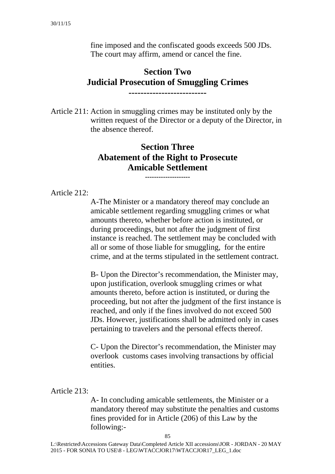fine imposed and the confiscated goods exceeds 500 JDs. The court may affirm, amend or cancel the fine.

#### **Section Two Judicial Prosecution of Smuggling Crimes --------------------------**

Article 211: Action in smuggling crimes may be instituted only by the written request of the Director or a deputy of the Director, in the absence thereof.

# **Section Three Abatement of the Right to Prosecute Amicable Settlement --------------------**

Article 212:

A-The Minister or a mandatory thereof may conclude an amicable settlement regarding smuggling crimes or what amounts thereto, whether before action is instituted, or during proceedings, but not after the judgment of first instance is reached. The settlement may be concluded with all or some of those liable for smuggling, for the entire crime, and at the terms stipulated in the settlement contract.

B- Upon the Director's recommendation, the Minister may, upon justification, overlook smuggling crimes or what amounts thereto, before action is instituted, or during the proceeding, but not after the judgment of the first instance is reached, and only if the fines involved do not exceed 500 JDs. However, justifications shall be admitted only in cases pertaining to travelers and the personal effects thereof.

C- Upon the Director's recommendation, the Minister may overlook customs cases involving transactions by official entities.

Article 213:

A- In concluding amicable settlements, the Minister or a mandatory thereof may substitute the penalties and customs fines provided for in Article (206) of this Law by the following:-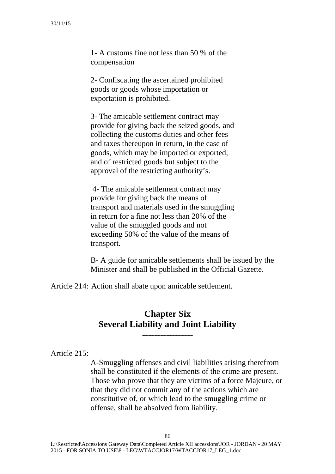1- A customs fine not less than 50 % of the compensation

2- Confiscating the ascertained prohibited goods or goods whose importation or exportation is prohibited.

3- The amicable settlement contract may provide for giving back the seized goods, and collecting the customs duties and other fees and taxes thereupon in return, in the case of goods, which may be imported or exported, and of restricted goods but subject to the approval of the restricting authority's.

 4- The amicable settlement contract may provide for giving back the means of transport and materials used in the smuggling in return for a fine not less than 20% of the value of the smuggled goods and not exceeding 50% of the value of the means of transport.

B- A guide for amicable settlements shall be issued by the Minister and shall be published in the Official Gazette.

Article 214: Action shall abate upon amicable settlement.

### **Chapter Six Several Liability and Joint Liability**

**-----------------** 

Article 215:

A-Smuggling offenses and civil liabilities arising therefrom shall be constituted if the elements of the crime are present. Those who prove that they are victims of a force Majeure, or that they did not commit any of the actions which are constitutive of, or which lead to the smuggling crime or offense, shall be absolved from liability.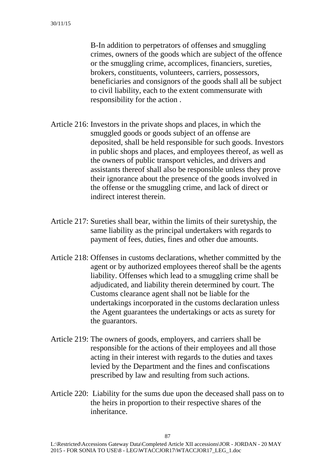B-In addition to perpetrators of offenses and smuggling crimes, owners of the goods which are subject of the offence or the smuggling crime, accomplices, financiers, sureties, brokers, constituents, volunteers, carriers, possessors, beneficiaries and consignors of the goods shall all be subject to civil liability, each to the extent commensurate with responsibility for the action .

- Article 216: Investors in the private shops and places, in which the smuggled goods or goods subject of an offense are deposited, shall be held responsible for such goods. Investors in public shops and places, and employees thereof, as well as the owners of public transport vehicles, and drivers and assistants thereof shall also be responsible unless they prove their ignorance about the presence of the goods involved in the offense or the smuggling crime, and lack of direct or indirect interest therein.
- Article 217: Sureties shall bear, within the limits of their suretyship, the same liability as the principal undertakers with regards to payment of fees, duties, fines and other due amounts.
- Article 218: Offenses in customs declarations, whether committed by the agent or by authorized employees thereof shall be the agents liability. Offenses which lead to a smuggling crime shall be adjudicated, and liability therein determined by court. The Customs clearance agent shall not be liable for the undertakings incorporated in the customs declaration unless the Agent guarantees the undertakings or acts as surety for the guarantors.
- Article 219: The owners of goods, employers, and carriers shall be responsible for the actions of their employees and all those acting in their interest with regards to the duties and taxes levied by the Department and the fines and confiscations prescribed by law and resulting from such actions.
- Article 220: Liability for the sums due upon the deceased shall pass on to the heirs in proportion to their respective shares of the inheritance.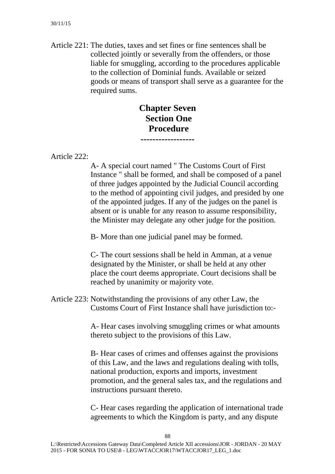Article 221: The duties, taxes and set fines or fine sentences shall be collected jointly or severally from the offenders, or those liable for smuggling, according to the procedures applicable to the collection of Dominial funds. Available or seized goods or means of transport shall serve as a guarantee for the required sums.

### **Chapter Seven Section One Procedure ------------------**

Article 222:

A- A special court named " The Customs Court of First Instance " shall be formed, and shall be composed of a panel of three judges appointed by the Judicial Council according to the method of appointing civil judges, and presided by one of the appointed judges. If any of the judges on the panel is absent or is unable for any reason to assume responsibility, the Minister may delegate any other judge for the position.

B- More than one judicial panel may be formed.

C- The court sessions shall be held in Amman, at a venue designated by the Minister, or shall be held at any other place the court deems appropriate. Court decisions shall be reached by unanimity or majority vote.

Article 223: Notwithstanding the provisions of any other Law, the Customs Court of First Instance shall have jurisdiction to:-

> A- Hear cases involving smuggling crimes or what amounts thereto subject to the provisions of this Law.

> B- Hear cases of crimes and offenses against the provisions of this Law, and the laws and regulations dealing with tolls, national production, exports and imports, investment promotion, and the general sales tax, and the regulations and instructions pursuant thereto.

> C- Hear cases regarding the application of international trade agreements to which the Kingdom is party, and any dispute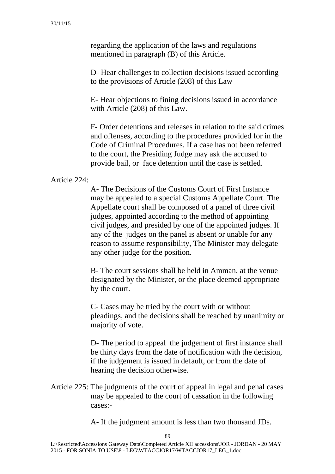regarding the application of the laws and regulations mentioned in paragraph (B) of this Article.

D- Hear challenges to collection decisions issued according to the provisions of Article (208) of this Law

E- Hear objections to fining decisions issued in accordance with Article (208) of this Law.

F- Order detentions and releases in relation to the said crimes and offenses, according to the procedures provided for in the Code of Criminal Procedures. If a case has not been referred to the court, the Presiding Judge may ask the accused to provide bail, or face detention until the case is settled.

#### Article 224:

A- The Decisions of the Customs Court of First Instance may be appealed to a special Customs Appellate Court. The Appellate court shall be composed of a panel of three civil judges, appointed according to the method of appointing civil judges, and presided by one of the appointed judges. If any of the judges on the panel is absent or unable for any reason to assume responsibility, The Minister may delegate any other judge for the position.

B- The court sessions shall be held in Amman, at the venue designated by the Minister, or the place deemed appropriate by the court.

C- Cases may be tried by the court with or without pleadings, and the decisions shall be reached by unanimity or majority of vote.

D- The period to appeal the judgement of first instance shall be thirty days from the date of notification with the decision, if the judgement is issued in default, or from the date of hearing the decision otherwise.

Article 225: The judgments of the court of appeal in legal and penal cases may be appealed to the court of cassation in the following cases:-

A- If the judgment amount is less than two thousand JDs.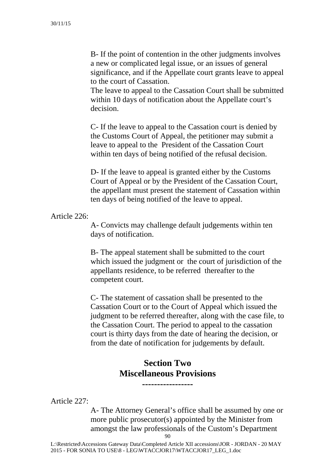B- If the point of contention in the other judgments involves a new or complicated legal issue, or an issues of general significance, and if the Appellate court grants leave to appeal to the court of Cassation.

The leave to appeal to the Cassation Court shall be submitted within 10 days of notification about the Appellate court's decision.

C- If the leave to appeal to the Cassation court is denied by the Customs Court of Appeal, the petitioner may submit a leave to appeal to the President of the Cassation Court within ten days of being notified of the refusal decision.

D- If the leave to appeal is granted either by the Customs Court of Appeal or by the President of the Cassation Court, the appellant must present the statement of Cassation within ten days of being notified of the leave to appeal.

Article 226:

A- Convicts may challenge default judgements within ten days of notification.

B- The appeal statement shall be submitted to the court which issued the judgment or the court of jurisdiction of the appellants residence, to be referred thereafter to the competent court.

C- The statement of cassation shall be presented to the Cassation Court or to the Court of Appeal which issued the judgment to be referred thereafter, along with the case file, to the Cassation Court. The period to appeal to the cassation court is thirty days from the date of hearing the decision, or from the date of notification for judgements by default.

### **Section Two Miscellaneous Provisions -----------------**

Article 227:

A- The Attorney General's office shall be assumed by one or more public prosecutor(s) appointed by the Minister from amongst the law professionals of the Custom's Department

90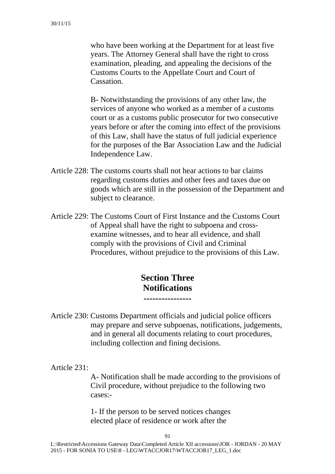who have been working at the Department for at least five years. The Attorney General shall have the right to cross examination, pleading, and appealing the decisions of the Customs Courts to the Appellate Court and Court of Cassation.

B- Notwithstanding the provisions of any other law, the services of anyone who worked as a member of a customs court or as a customs public prosecutor for two consecutive years before or after the coming into effect of the provisions of this Law, shall have the status of full judicial experience for the purposes of the Bar Association Law and the Judicial Independence Law.

- Article 228: The customs courts shall not hear actions to bar claims regarding customs duties and other fees and taxes due on goods which are still in the possession of the Department and subject to clearance.
- Article 229: The Customs Court of First Instance and the Customs Court of Appeal shall have the right to subpoena and crossexamine witnesses, and to hear all evidence, and shall comply with the provisions of Civil and Criminal Procedures, without prejudice to the provisions of this Law.

### **Section Three Notifications ----------------**

Article 230: Customs Department officials and judicial police officers may prepare and serve subpoenas, notifications, judgements, and in general all documents relating to court procedures, including collection and fining decisions.

Article 231:

A- Notification shall be made according to the provisions of Civil procedure, without prejudice to the following two cases:-

1- If the person to be served notices changes elected place of residence or work after the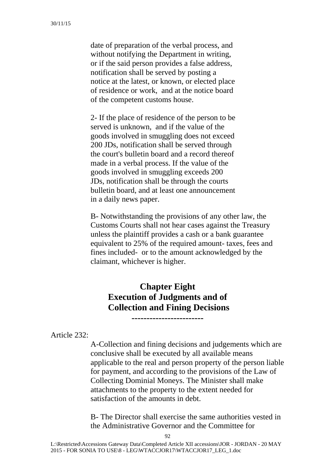date of preparation of the verbal process, and without notifying the Department in writing, or if the said person provides a false address, notification shall be served by posting a notice at the latest, or known, or elected place of residence or work, and at the notice board of the competent customs house.

2- If the place of residence of the person to be served is unknown, and if the value of the goods involved in smuggling does not exceed 200 JDs, notification shall be served through the court's bulletin board and a record thereof made in a verbal process. If the value of the goods involved in smuggling exceeds 200 JDs, notification shall be through the courts bulletin board, and at least one announcement in a daily news paper.

B- Notwithstanding the provisions of any other law, the Customs Courts shall not hear cases against the Treasury unless the plaintiff provides a cash or a bank guarantee equivalent to 25% of the required amount- taxes, fees and fines included- or to the amount acknowledged by the claimant, whichever is higher.

### **Chapter Eight Execution of Judgments and of Collection and Fining Decisions**

**------------------------** 

Article 232:

A-Collection and fining decisions and judgements which are conclusive shall be executed by all available means applicable to the real and person property of the person liable for payment, and according to the provisions of the Law of Collecting Dominial Moneys. The Minister shall make attachments to the property to the extent needed for satisfaction of the amounts in debt.

B- The Director shall exercise the same authorities vested in the Administrative Governor and the Committee for

 $92$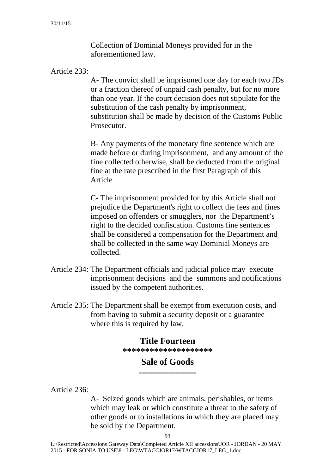Collection of Dominial Moneys provided for in the aforementioned law.

Article 233:

A- The convict shall be imprisoned one day for each two JDs or a fraction thereof of unpaid cash penalty, but for no more than one year. If the court decision does not stipulate for the substitution of the cash penalty by imprisonment, substitution shall be made by decision of the Customs Public Prosecutor.

B- Any payments of the monetary fine sentence which are made before or during imprisonment, and any amount of the fine collected otherwise, shall be deducted from the original fine at the rate prescribed in the first Paragraph of this Article

C- The imprisonment provided for by this Article shall not prejudice the Department's right to collect the fees and fines imposed on offenders or smugglers, nor the Department's right to the decided confiscation. Customs fine sentences shall be considered a compensation for the Department and shall be collected in the same way Dominial Moneys are collected.

- Article 234: The Department officials and judicial police may execute imprisonment decisions and the summons and notifications issued by the competent authorities.
- Article 235: The Department shall be exempt from execution costs, and from having to submit a security deposit or a guarantee where this is required by law.

#### **Title Fourteen**

**\*\*\*\*\*\*\*\*\*\*\*\*\*\*\*\*\*\*\*\*** 

#### **Sale of Goods -------------------**

Article 236:

A- Seized goods which are animals, perishables, or items which may leak or which constitute a threat to the safety of other goods or to installations in which they are placed may be sold by the Department.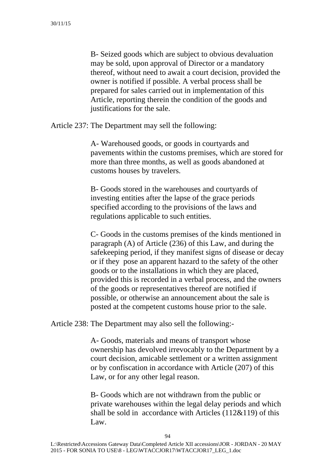B- Seized goods which are subject to obvious devaluation may be sold, upon approval of Director or a mandatory thereof, without need to await a court decision, provided the owner is notified if possible. A verbal process shall be prepared for sales carried out in implementation of this Article, reporting therein the condition of the goods and justifications for the sale.

Article 237: The Department may sell the following:

A- Warehoused goods, or goods in courtyards and pavements within the customs premises, which are stored for more than three months, as well as goods abandoned at customs houses by travelers.

B- Goods stored in the warehouses and courtyards of investing entities after the lapse of the grace periods specified according to the provisions of the laws and regulations applicable to such entities.

C- Goods in the customs premises of the kinds mentioned in paragraph (A) of Article (236) of this Law, and during the safekeeping period, if they manifest signs of disease or decay or if they pose an apparent hazard to the safety of the other goods or to the installations in which they are placed, provided this is recorded in a verbal process, and the owners of the goods or representatives thereof are notified if possible, or otherwise an announcement about the sale is posted at the competent customs house prior to the sale.

Article 238: The Department may also sell the following:-

A- Goods, materials and means of transport whose ownership has devolved irrevocably to the Department by a court decision, amicable settlement or a written assignment or by confiscation in accordance with Article (207) of this Law, or for any other legal reason.

B- Goods which are not withdrawn from the public or private warehouses within the legal delay periods and which shall be sold in accordance with Articles (112&119) of this Law.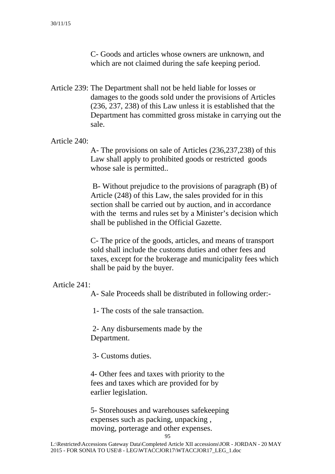C- Goods and articles whose owners are unknown, and which are not claimed during the safe keeping period.

Article 239: The Department shall not be held liable for losses or damages to the goods sold under the provisions of Articles (236, 237, 238) of this Law unless it is established that the Department has committed gross mistake in carrying out the sale.

#### Article 240:

A- The provisions on sale of Articles (236,237,238) of this Law shall apply to prohibited goods or restricted goods whose sale is permitted..

 B- Without prejudice to the provisions of paragraph (B) of Article (248) of this Law, the sales provided for in this section shall be carried out by auction, and in accordance with the terms and rules set by a Minister's decision which shall be published in the Official Gazette.

C- The price of the goods, articles, and means of transport sold shall include the customs duties and other fees and taxes, except for the brokerage and municipality fees which shall be paid by the buyer.

#### Article 241:

A- Sale Proceeds shall be distributed in following order:-

1- The costs of the sale transaction.

 2- Any disbursements made by the Department.

3- Customs duties.

4- Other fees and taxes with priority to the fees and taxes which are provided for by earlier legislation.

5- Storehouses and warehouses safekeeping expenses such as packing, unpacking , moving, porterage and other expenses.

95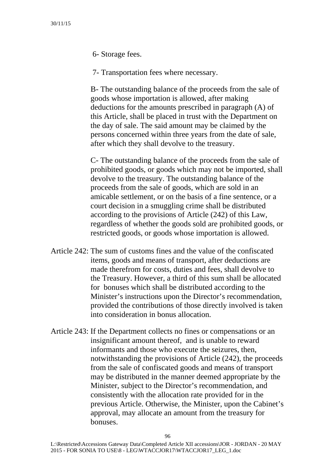6- Storage fees.

7- Transportation fees where necessary.

B- The outstanding balance of the proceeds from the sale of goods whose importation is allowed, after making deductions for the amounts prescribed in paragraph (A) of this Article, shall be placed in trust with the Department on the day of sale. The said amount may be claimed by the persons concerned within three years from the date of sale, after which they shall devolve to the treasury.

C- The outstanding balance of the proceeds from the sale of prohibited goods, or goods which may not be imported, shall devolve to the treasury. The outstanding balance of the proceeds from the sale of goods, which are sold in an amicable settlement, or on the basis of a fine sentence, or a court decision in a smuggling crime shall be distributed according to the provisions of Article (242) of this Law, regardless of whether the goods sold are prohibited goods, or restricted goods, or goods whose importation is allowed.

- Article 242: The sum of customs fines and the value of the confiscated items, goods and means of transport, after deductions are made therefrom for costs, duties and fees, shall devolve to the Treasury. However, a third of this sum shall be allocated for bonuses which shall be distributed according to the Minister's instructions upon the Director's recommendation, provided the contributions of those directly involved is taken into consideration in bonus allocation.
- Article 243: If the Department collects no fines or compensations or an insignificant amount thereof, and is unable to reward informants and those who execute the seizures, then, notwithstanding the provisions of Article (242), the proceeds from the sale of confiscated goods and means of transport may be distributed in the manner deemed appropriate by the Minister, subject to the Director's recommendation, and consistently with the allocation rate provided for in the previous Article. Otherwise, the Minister, upon the Cabinet's approval, may allocate an amount from the treasury for bonuses.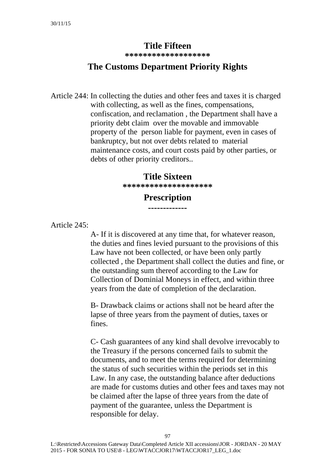### **Title Fifteen**

**\*\*\*\*\*\*\*\*\*\*\*\*\*\*\*\*\*\*\*** 

### **The Customs Department Priority Rights**

Article 244: In collecting the duties and other fees and taxes it is charged with collecting, as well as the fines, compensations, confiscation, and reclamation , the Department shall have a priority debt claim over the movable and immovable property of the person liable for payment, even in cases of bankruptcy, but not over debts related to material maintenance costs, and court costs paid by other parties, or debts of other priority creditors..

#### **Title Sixteen**

**\*\*\*\*\*\*\*\*\*\*\*\*\*\*\*\*\*\*\*\*** 

#### **Prescription -------------**

Article 245:

A- If it is discovered at any time that, for whatever reason, the duties and fines levied pursuant to the provisions of this Law have not been collected, or have been only partly collected , the Department shall collect the duties and fine, or the outstanding sum thereof according to the Law for Collection of Dominial Moneys in effect, and within three years from the date of completion of the declaration.

B- Drawback claims or actions shall not be heard after the lapse of three years from the payment of duties, taxes or fines.

C- Cash guarantees of any kind shall devolve irrevocably to the Treasury if the persons concerned fails to submit the documents, and to meet the terms required for determining the status of such securities within the periods set in this Law. In any case, the outstanding balance after deductions are made for customs duties and other fees and taxes may not be claimed after the lapse of three years from the date of payment of the guarantee, unless the Department is responsible for delay.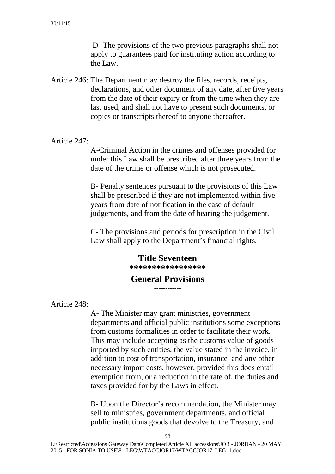D- The provisions of the two previous paragraphs shall not apply to guarantees paid for instituting action according to the Law.

Article 246: The Department may destroy the files, records, receipts, declarations, and other document of any date, after five years from the date of their expiry or from the time when they are last used, and shall not have to present such documents, or copies or transcripts thereof to anyone thereafter.

Article 247:

A-Criminal Action in the crimes and offenses provided for under this Law shall be prescribed after three years from the date of the crime or offense which is not prosecuted.

B- Penalty sentences pursuant to the provisions of this Law shall be prescribed if they are not implemented within five years from date of notification in the case of default judgements, and from the date of hearing the judgement.

C- The provisions and periods for prescription in the Civil Law shall apply to the Department's financial rights.

### **Title Seventeen**

**\*\*\*\*\*\*\*\*\*\*\*\*\*\*\*\*\*** 

# General Provisions<br>------------

Article 248:

A- The Minister may grant ministries, government departments and official public institutions some exceptions from customs formalities in order to facilitate their work. This may include accepting as the customs value of goods imported by such entities, the value stated in the invoice, in addition to cost of transportation, insurance and any other necessary import costs, however, provided this does entail exemption from, or a reduction in the rate of, the duties and taxes provided for by the Laws in effect.

B- Upon the Director's recommendation, the Minister may sell to ministries, government departments, and official public institutions goods that devolve to the Treasury, and